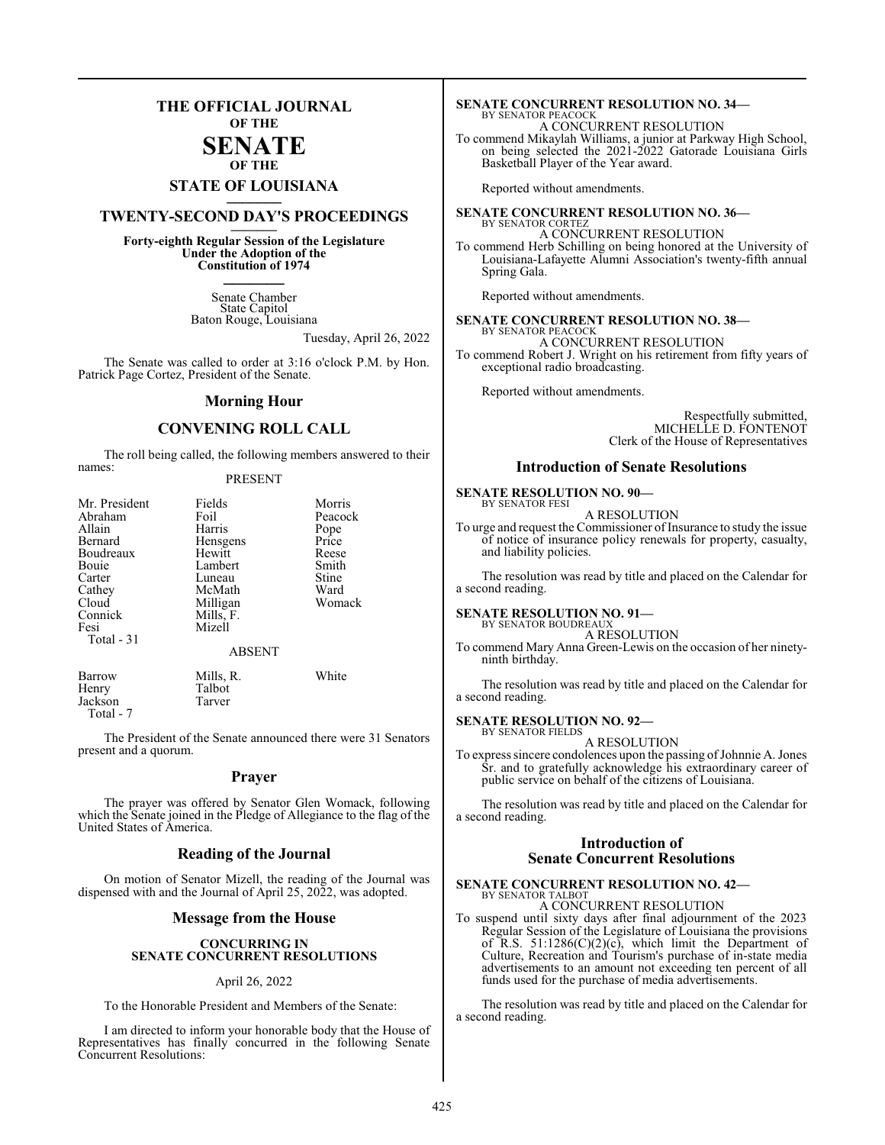### **THE OFFICIAL JOURNAL OF THE**

#### **SENATE OF THE**

# **STATE OF LOUISIANA \_\_\_\_\_\_\_**

## **TWENTY-SECOND DAY'S PROCEEDINGS \_\_\_\_\_\_\_**

**Forty-eighth Regular Session of the Legislature Under the Adoption of the Constitution of 1974 \_\_\_\_\_\_\_**

> Senate Chamber State Capitol Baton Rouge, Louisiana

> > Tuesday, April 26, 2022

The Senate was called to order at 3:16 o'clock P.M. by Hon. Patrick Page Cortez, President of the Senate.

#### **Morning Hour**

#### **CONVENING ROLL CALL**

The roll being called, the following members answered to their names:

#### PRESENT

| Mr. President | Fields        | Morris  |
|---------------|---------------|---------|
| Abraham       | Foil          | Peacock |
| Allain        | Harris        | Pope    |
| Bernard       | Hensgens      | Price   |
| Boudreaux     | Hewitt        | Reese   |
| Bouie         | Lambert       | Smith   |
| Carter        | Luneau        | Stine   |
| Cathey        | McMath        | Ward    |
| Cloud         | Milligan      | Womack  |
| Connick       | Mills, F.     |         |
| Fesi          | Mizell        |         |
| Total - 31    |               |         |
|               | <b>ABSENT</b> |         |
| Barrow        | Mills, R.     | White   |
| Henry         | Talbot        |         |
| Jackson       | Tarver        |         |

Total - 7

The President of the Senate announced there were 31 Senators present and a quorum.

#### **Prayer**

The prayer was offered by Senator Glen Womack, following which the Senate joined in the Pledge of Allegiance to the flag of the United States of America.

#### **Reading of the Journal**

On motion of Senator Mizell, the reading of the Journal was dispensed with and the Journal of April 25, 2022, was adopted.

#### **Message from the House**

#### **CONCURRING IN SENATE CONCURRENT RESOLUTIONS**

#### April 26, 2022

To the Honorable President and Members of the Senate:

I am directed to inform your honorable body that the House of Representatives has finally concurred in the following Senate Concurrent Resolutions:

#### **SENATE CONCURRENT RESOLUTION NO. 34—** BY SENATOR PEACOCK

A CONCURRENT RESOLUTION

To commend Mikaylah Williams, a junior at Parkway High School, on being selected the 2021-2022 Gatorade Louisiana Girls Basketball Player of the Year award.

Reported without amendments.

**SENATE CONCURRENT RESOLUTION NO. 36—** BY SENATOR CORTEZ A CONCURRENT RESOLUTION

To commend Herb Schilling on being honored at the University of Louisiana-Lafayette Alumni Association's twenty-fifth annual Spring Gala.

Reported without amendments.

#### **SENATE CONCURRENT RESOLUTION NO. 38—** BY SENATOR PEACOCK

A CONCURRENT RESOLUTION To commend Robert J. Wright on his retirement from fifty years of exceptional radio broadcasting.

Reported without amendments.

Respectfully submitted, MICHELLE D. FONTENOT Clerk of the House of Representatives

#### **Introduction of Senate Resolutions**

#### **SENATE RESOLUTION NO. 90—** BY SENATOR FESI

A RESOLUTION

To urge and request the Commissioner of Insurance to study the issue of notice of insurance policy renewals for property, casualty, and liability policies.

The resolution was read by title and placed on the Calendar for a second reading.

#### **SENATE RESOLUTION NO. 91—**

BY SENATOR BOUDREAUX A RESOLUTION

To commend Mary Anna Green-Lewis on the occasion of her ninetyninth birthday.

The resolution was read by title and placed on the Calendar for a second reading.

**SENATE RESOLUTION NO. 92—**

BY SENATOR FIELDS A RESOLUTION

To express sincere condolences upon the passing of Johnnie A. Jones Sr. and to gratefully acknowledge his extraordinary career of public service on behalf of the citizens of Louisiana.

The resolution was read by title and placed on the Calendar for a second reading.

#### **Introduction of Senate Concurrent Resolutions**

### **SENATE CONCURRENT RESOLUTION NO. 42—**

BY SENATOR TALBOT A CONCURRENT RESOLUTION

To suspend until sixty days after final adjournment of the 2023 Regular Session of the Legislature of Louisiana the provisions of R.S.  $51:1286(C)(2)(c)$ , which limit the Department of Culture, Recreation and Tourism's purchase of in-state media advertisements to an amount not exceeding ten percent of all funds used for the purchase of media advertisements.

The resolution was read by title and placed on the Calendar for a second reading.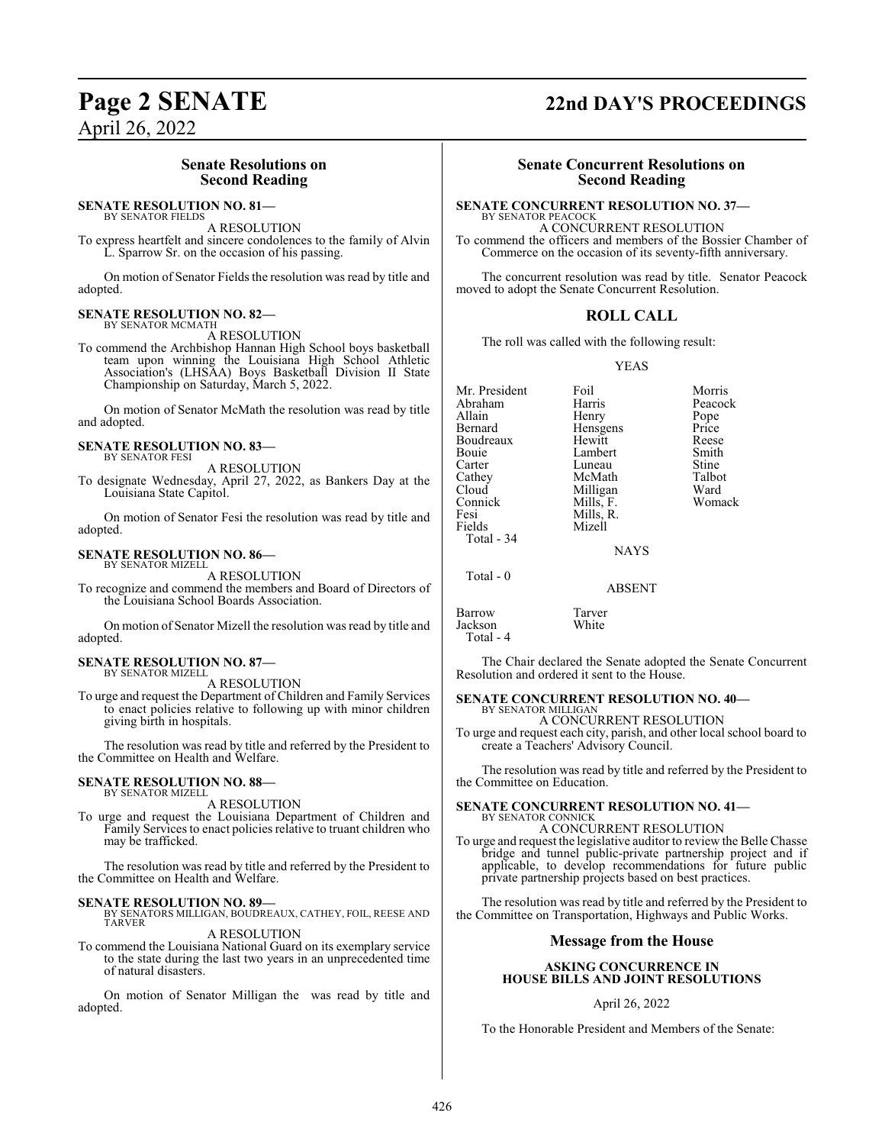### **Senate Resolutions on Second Reading**

#### **SENATE RESOLUTION NO. 81—** BY SENATOR FIELDS

A RESOLUTION

To express heartfelt and sincere condolences to the family of Alvin L. Sparrow Sr. on the occasion of his passing.

On motion of Senator Fields the resolution was read by title and adopted.

#### **SENATE RESOLUTION NO. 82—** BY SENATOR MCMATH

A RESOLUTION

To commend the Archbishop Hannan High School boys basketball team upon winning the Louisiana High School Athletic Association's (LHSAA) Boys Basketball Division II State Championship on Saturday, March 5, 2022.

On motion of Senator McMath the resolution was read by title and adopted.

#### **SENATE RESOLUTION NO. 83—** BY SENATOR FESI

A RESOLUTION

To designate Wednesday, April 27, 2022, as Bankers Day at the Louisiana State Capitol.

On motion of Senator Fesi the resolution was read by title and adopted.

#### **SENATE RESOLUTION NO. 86—** BY SENATOR MIZELL

A RESOLUTION

To recognize and commend the members and Board of Directors of the Louisiana School Boards Association.

On motion of Senator Mizell the resolution was read by title and adopted.

#### **SENATE RESOLUTION NO. 87—** BY SENATOR MIZELL

A RESOLUTION

To urge and request the Department of Children and Family Services to enact policies relative to following up with minor children giving birth in hospitals.

The resolution was read by title and referred by the President to the Committee on Health and Welfare.

#### **SENATE RESOLUTION NO. 88—** BY SENATOR MIZELL

A RESOLUTION

To urge and request the Louisiana Department of Children and Family Services to enact policies relative to truant children who may be trafficked.

The resolution was read by title and referred by the President to the Committee on Health and Welfare.

#### **SENATE RESOLUTION NO. 89—**

BY SENATORS MILLIGAN, BOUDREAUX, CATHEY, FOIL, REESE AND TARVER A RESOLUTION

To commend the Louisiana National Guard on its exemplary service to the state during the last two years in an unprecedented time of natural disasters.

On motion of Senator Milligan the was read by title and adopted.

# **Page 2 SENATE 22nd DAY'S PROCEEDINGS**

### **Senate Concurrent Resolutions on Second Reading**

#### **SENATE CONCURRENT RESOLUTION NO. 37—**

BY SENATOR PEACOCK A CONCURRENT RESOLUTION To commend the officers and members of the Bossier Chamber of Commerce on the occasion of its seventy-fifth anniversary.

The concurrent resolution was read by title. Senator Peacock moved to adopt the Senate Concurrent Resolution.

#### **ROLL CALL**

The roll was called with the following result:

YEAS

| Mr. President<br>Abraham<br>Allain | Foil<br>Harris<br>Henry | Morris<br>Peacock<br>Pope |
|------------------------------------|-------------------------|---------------------------|
| Bernard                            | Hensgens                | Price                     |
| Boudreaux                          | Hewitt                  | Reese                     |
| Bouie                              | Lambert                 | Smith                     |
| Carter                             | Luneau                  | Stine                     |
| Cathey                             | McMath                  | Talbot                    |
| Cloud                              | Milligan                | Ward                      |
| Connick                            | Mills, F.               | Womack                    |
| Fesi                               | Mills, R.               |                           |
| Fields                             | Mizell                  |                           |
| Total $-34$                        |                         |                           |
|                                    | <b>NAYS</b>             |                           |
| Total - 0                          |                         |                           |

ABSENT

Barrow Tarver<br>Jackson White Jackson Total - 4

The Chair declared the Senate adopted the Senate Concurrent Resolution and ordered it sent to the House.

#### **SENATE CONCURRENT RESOLUTION NO. 40—** BY SENATOR MILLIGAN

A CONCURRENT RESOLUTION

To urge and request each city, parish, and other local school board to create a Teachers' Advisory Council.

The resolution was read by title and referred by the President to the Committee on Education.

#### **SENATE CONCURRENT RESOLUTION NO. 41—** BY SENATOR CONNICK

A CONCURRENT RESOLUTION

To urge and request the legislative auditor to review the Belle Chasse bridge and tunnel public-private partnership project and if applicable, to develop recommendations for future public private partnership projects based on best practices.

The resolution was read by title and referred by the President to the Committee on Transportation, Highways and Public Works.

#### **Message from the House**

#### **ASKING CONCURRENCE IN HOUSE BILLS AND JOINT RESOLUTIONS**

April 26, 2022

To the Honorable President and Members of the Senate: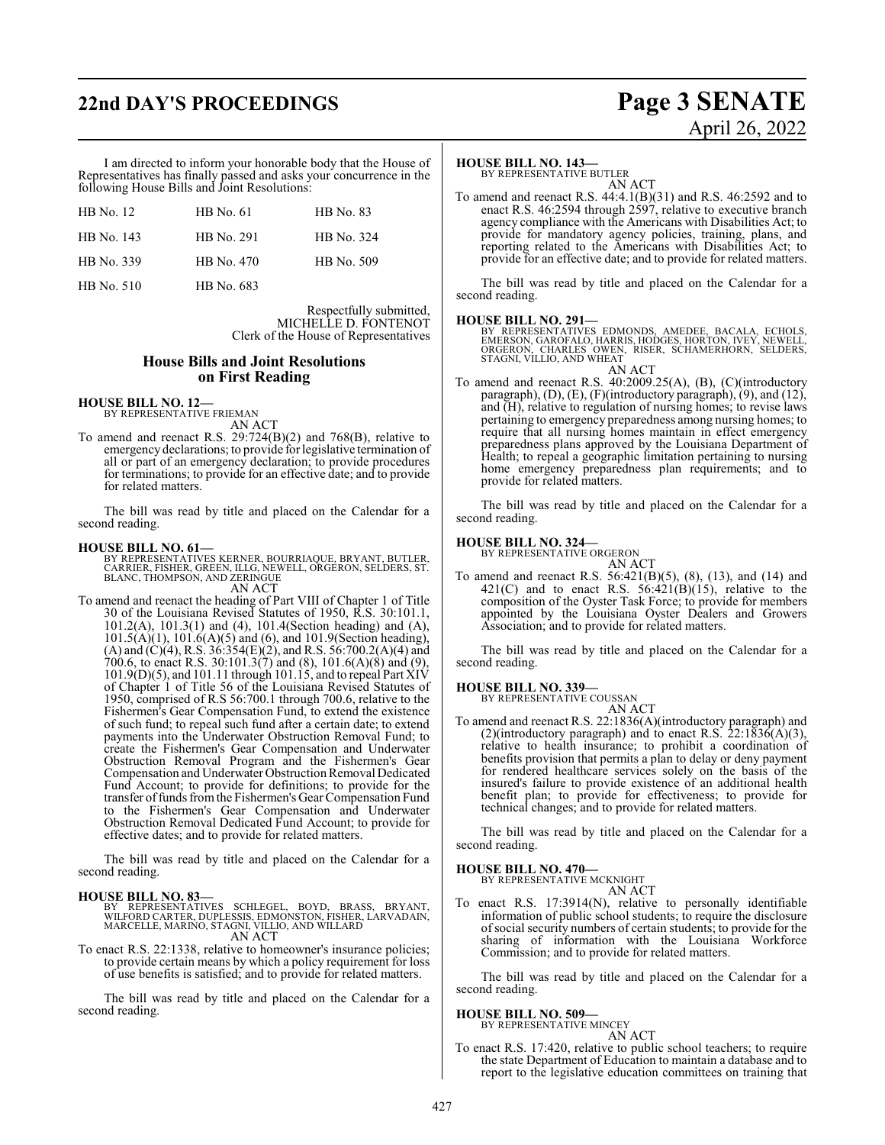# **22nd DAY'S PROCEEDINGS Page 3 SENATE**

# April 26, 2022

I am directed to inform your honorable body that the House of Representatives has finally passed and asks your concurrence in the following House Bills and Joint Resolutions:

| HB No. 12  | <b>HB</b> No. 61 | <b>HB</b> No. 83 |
|------------|------------------|------------------|
| HB No. 143 | HB No. 291       | HB No. 324       |
| HB No. 339 | HB No. 470       | HB No. 509       |
| HB No. 510 | HB No. 683       |                  |

Respectfully submitted, MICHELLE D. FONTENOT Clerk of the House of Representatives

#### **House Bills and Joint Resolutions on First Reading**

**HOUSE BILL NO. 12—** BY REPRESENTATIVE FRIEMAN

AN ACT To amend and reenact R.S. 29:724(B)(2) and 768(B), relative to emergency declarations; to provide forlegislative termination of all or part of an emergency declaration; to provide procedures for terminations; to provide for an effective date; and to provide for related matters.

The bill was read by title and placed on the Calendar for a second reading.

#### **HOUSE BILL NO. 61—**

BY REPRESENTATIVES KERNER, BOURRIAQUE, BRYANT, BUTLER,<br>CARRIER, FISHER, GREEN, ILLG, NEWELL, ORGERON, SELDERS, ST.<br>BLANC, THOMPSON, AND ZERINGUE AN ACT

To amend and reenact the heading of Part VIII of Chapter 1 of Title 30 of the Louisiana Revised Statutes of 1950, R.S. 30:101.1, 101.2(A), 101.3(1) and (4), 101.4(Section heading) and (A),  $101.5(A)(1)$ ,  $101.6(A)(5)$  and  $(6)$ , and  $101.9$ (Section heading), (A) and (C)(4), R.S. 36:354(E)(2), and R.S. 56:700.2(A)(4) and 700.6, to enact R.S. 30:101.3(7) and (8), 101.6(A)(8) and (9), 101.9(D)(5), and 101.11 through 101.15, and to repeal Part XIV of Chapter 1 of Title 56 of the Louisiana Revised Statutes of 1950, comprised of R.S 56:700.1 through 700.6, relative to the Fishermen's Gear Compensation Fund, to extend the existence of such fund; to repeal such fund after a certain date; to extend payments into the Underwater Obstruction Removal Fund; to create the Fishermen's Gear Compensation and Underwater Obstruction Removal Program and the Fishermen's Gear Compensation and Underwater Obstruction Removal Dedicated Fund Account; to provide for definitions; to provide for the transfer offunds fromthe Fishermen's Gear Compensation Fund to the Fishermen's Gear Compensation and Underwater Obstruction Removal Dedicated Fund Account; to provide for effective dates; and to provide for related matters.

The bill was read by title and placed on the Calendar for a second reading.

#### **HOUSE BILL NO. 83—**

BY REPRESENTATIVES SCHLEGEL, BOYD, BRASS, BRYANT,<br>WILFORDCARTER,DUPLESSIS,EDMONSTON,FISHER,LARVADAIN,<br>MARCELLE,MARINO,STAGNI,VILLIO,ANDWILLARD AN ACT

To enact R.S. 22:1338, relative to homeowner's insurance policies; to provide certain means by which a policy requirement for loss of use benefits is satisfied; and to provide for related matters.

The bill was read by title and placed on the Calendar for a second reading.

#### **HOUSE BILL NO. 143—**

BY REPRESENTATIVE BUTLER AN ACT

To amend and reenact R.S. 44:4.1(B)(31) and R.S. 46:2592 and to enact R.S. 46:2594 through 2597, relative to executive branch agency compliance with the Americans with Disabilities Act; to provide for mandatory agency policies, training, plans, and reporting related to the Americans with Disabilities Act; to provide for an effective date; and to provide for related matters.

The bill was read by title and placed on the Calendar for a second reading.

#### **HOUSE BILL NO. 291—**

BY REPRESENTATIVES EDMONDS, AMEDEE, BACALA, ECHOLS, EMERSON, GAROFALO, HARRIS, HODGES, HORTON, IVEY, NEWELL, ORGERON, CHARLES OWEN, RISER, SCHAMERHORN, SELDERS, STAGNI, VILLIO, AND WHEAT AN ACT

To amend and reenact R.S. 40:2009.25(A), (B), (C)(introductory paragraph), (D), (E), (F)(introductory paragraph), (9), and (12), and (H), relative to regulation of nursing homes; to revise laws pertaining to emergency preparedness among nursing homes; to require that all nursing homes maintain in effect emergency preparedness plans approved by the Louisiana Department of Health; to repeal a geographic limitation pertaining to nursing home emergency preparedness plan requirements; and to provide for related matters.

The bill was read by title and placed on the Calendar for a second reading.

#### **HOUSE BILL NO. 324—**

BY REPRESENTATIVE ORGERON AN ACT

To amend and reenact R.S. 56:421(B)(5), (8), (13), and (14) and  $421(C)$  and to enact R.S.  $56:421(B)(15)$ , relative to the composition of the Oyster Task Force; to provide for members appointed by the Louisiana Oyster Dealers and Growers Association; and to provide for related matters.

The bill was read by title and placed on the Calendar for a second reading.

#### **HOUSE BILL NO. 339—**

BY REPRESENTATIVE COUSSAN AN ACT

To amend and reenact R.S. 22:1836(A)(introductory paragraph) and (2)(introductory paragraph) and to enact R.S.  $22:1836(A)(3)$ , relative to health insurance; to prohibit a coordination of benefits provision that permits a plan to delay or deny payment for rendered healthcare services solely on the basis of the insured's failure to provide existence of an additional health benefit plan; to provide for effectiveness; to provide for technical changes; and to provide for related matters.

The bill was read by title and placed on the Calendar for a second reading.

#### **HOUSE BILL NO. 470—**

BY REPRESENTATIVE MCKNIGHT AN ACT

To enact R.S. 17:3914(N), relative to personally identifiable information of public school students; to require the disclosure ofsocial security numbers of certain students; to provide for the sharing of information with the Louisiana Workforce Commission; and to provide for related matters.

The bill was read by title and placed on the Calendar for a second reading.

#### **HOUSE BILL NO. 509—** BY REPRESENTATIVE MINCEY

AN ACT

To enact R.S. 17:420, relative to public school teachers; to require the state Department of Education to maintain a database and to report to the legislative education committees on training that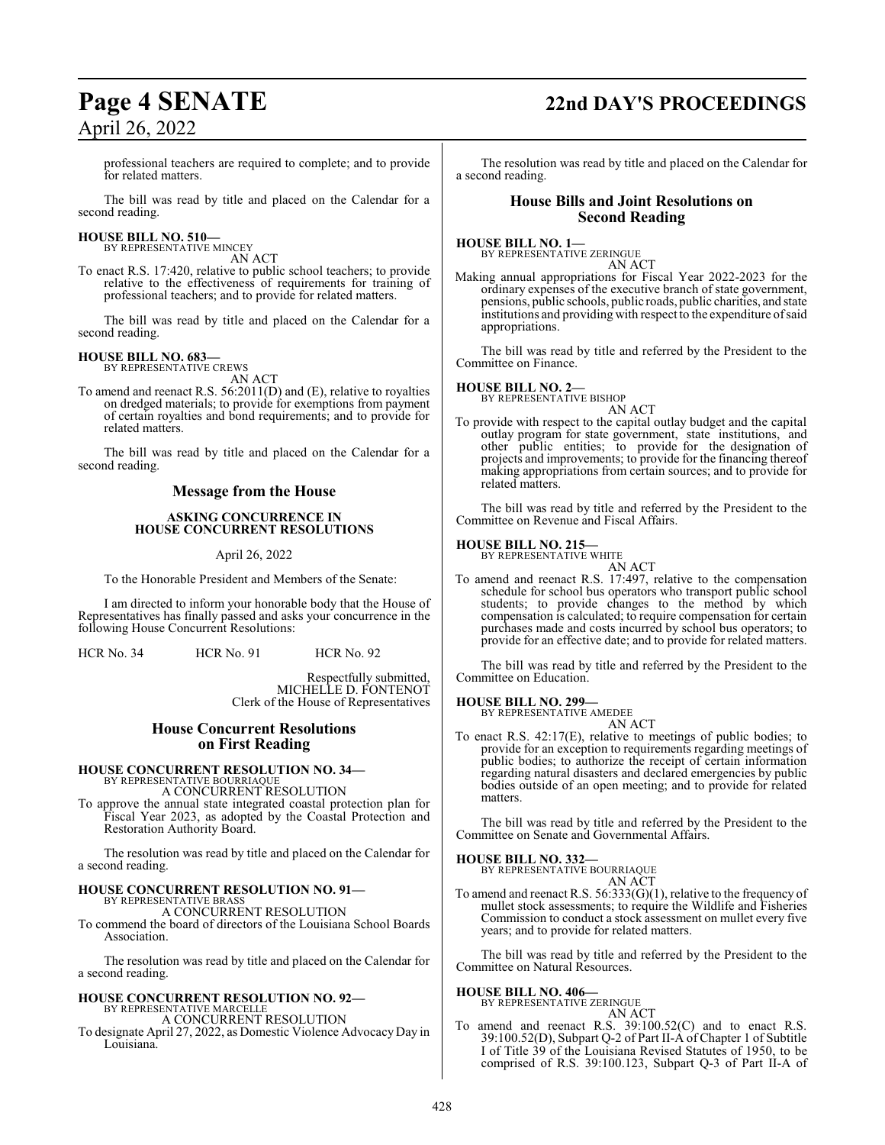# **Page 4 SENATE 22nd DAY'S PROCEEDINGS**

professional teachers are required to complete; and to provide for related matters.

The bill was read by title and placed on the Calendar for a second reading.

#### **HOUSE BILL NO. 510—** BY REPRESENTATIVE MINCEY

AN ACT

To enact R.S. 17:420, relative to public school teachers; to provide relative to the effectiveness of requirements for training of professional teachers; and to provide for related matters.

The bill was read by title and placed on the Calendar for a second reading.

**HOUSE BILL NO. 683—** BY REPRESENTATIVE CREWS AN ACT

To amend and reenact R.S. 56:2011(D) and (E), relative to royalties on dredged materials; to provide for exemptions from payment of certain royalties and bond requirements; and to provide for related matters.

The bill was read by title and placed on the Calendar for a second reading.

#### **Message from the House**

#### **ASKING CONCURRENCE IN HOUSE CONCURRENT RESOLUTIONS**

#### April 26, 2022

To the Honorable President and Members of the Senate:

I am directed to inform your honorable body that the House of Representatives has finally passed and asks your concurrence in the following House Concurrent Resolutions:

HCR No. 34 HCR No. 91 HCR No. 92

Respectfully submitted, MICHELLE D. FONTENOT Clerk of the House of Representatives

#### **House Concurrent Resolutions on First Reading**

#### **HOUSE CONCURRENT RESOLUTION NO. 34—** BY REPRESENTATIVE BOURRIAQUE A CONCURRENT RESOLUTION

To approve the annual state integrated coastal protection plan for Fiscal Year 2023, as adopted by the Coastal Protection and Restoration Authority Board.

The resolution was read by title and placed on the Calendar for a second reading.

# **HOUSE CONCURRENT RESOLUTION NO. 91—** BY REPRESENTATIVE BRASS

A CONCURRENT RESOLUTION

To commend the board of directors of the Louisiana School Boards Association.

The resolution was read by title and placed on the Calendar for a second reading.

### **HOUSE CONCURRENT RESOLUTION NO. 92—**

BY REPRESENTATIVE MARCELLE A CONCURRENT RESOLUTION

To designate April 27, 2022, as Domestic Violence Advocacy Day in Louisiana.

The resolution was read by title and placed on the Calendar for a second reading.

#### **House Bills and Joint Resolutions on Second Reading**

**HOUSE BILL NO. 1—**

BY REPRESENTATIVE ZERINGUE AN ACT

Making annual appropriations for Fiscal Year 2022-2023 for the ordinary expenses of the executive branch of state government, pensions, public schools, public roads, public charities, and state institutions and providing with respect to the expenditure ofsaid appropriations.

The bill was read by title and referred by the President to the Committee on Finance.

#### **HOUSE BILL NO. 2—**

BY REPRESENTATIVE BISHOP

AN ACT To provide with respect to the capital outlay budget and the capital outlay program for state government, state institutions, and other public entities; to provide for the designation of projects and improvements; to provide for the financing thereof making appropriations from certain sources; and to provide for related matters.

The bill was read by title and referred by the President to the Committee on Revenue and Fiscal Affairs.

#### **HOUSE BILL NO. 215—**

BY REPRESENTATIVE WHITE AN ACT

To amend and reenact R.S. 17:497, relative to the compensation schedule for school bus operators who transport public school students; to provide changes to the method by which compensation is calculated; to require compensation for certain purchases made and costs incurred by school bus operators; to provide for an effective date; and to provide for related matters.

The bill was read by title and referred by the President to the Committee on Education.

#### **HOUSE BILL NO. 299—**

BY REPRESENTATIVE AMEDEE AN ACT

To enact R.S. 42:17(E), relative to meetings of public bodies; to provide for an exception to requirements regarding meetings of public bodies; to authorize the receipt of certain information regarding natural disasters and declared emergencies by public bodies outside of an open meeting; and to provide for related matters.

The bill was read by title and referred by the President to the Committee on Senate and Governmental Affairs.

**HOUSE BILL NO. 332—**

BY REPRESENTATIVE BOURRIAQUE

AN ACT

To amend and reenact R.S. 56:333(G)(1), relative to the frequency of mullet stock assessments; to require the Wildlife and Fisheries Commission to conduct a stock assessment on mullet every five years; and to provide for related matters.

The bill was read by title and referred by the President to the Committee on Natural Resources.

#### **HOUSE BILL NO. 406—**

BY REPRESENTATIVE ZERINGUE AN ACT

To amend and reenact R.S. 39:100.52(C) and to enact R.S. 39:100.52(D), Subpart Q-2 of Part II-A of Chapter 1 of Subtitle I of Title 39 of the Louisiana Revised Statutes of 1950, to be comprised of R.S. 39:100.123, Subpart Q-3 of Part II-A of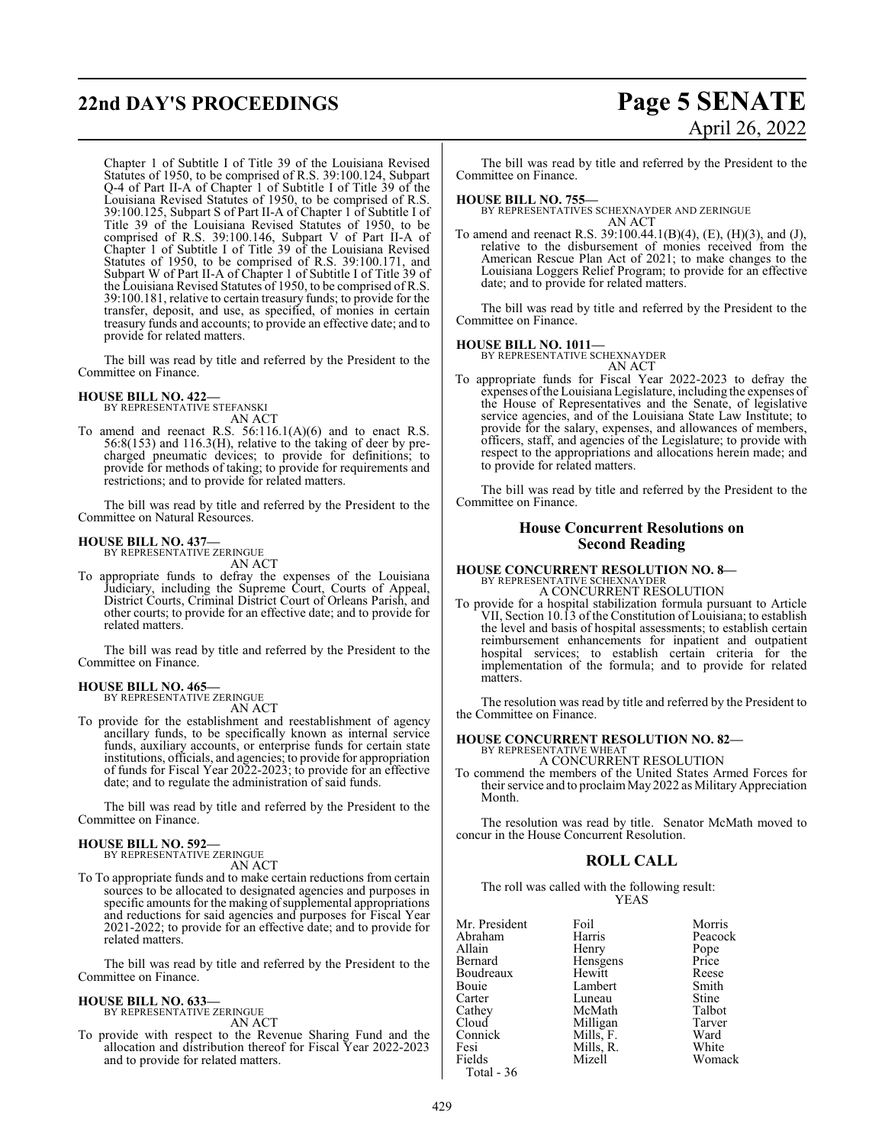# **22nd DAY'S PROCEEDINGS Page 5 SENATE**

Chapter 1 of Subtitle I of Title 39 of the Louisiana Revised Statutes of 1950, to be comprised of R.S. 39:100.124, Subpart Q-4 of Part II-A of Chapter 1 of Subtitle I of Title 39 of the Louisiana Revised Statutes of 1950, to be comprised of R.S. 39:100.125, Subpart S of Part II-A of Chapter 1 of Subtitle I of Title 39 of the Louisiana Revised Statutes of 1950, to be comprised of R.S. 39:100.146, Subpart V of Part II-A of Chapter 1 of Subtitle I of Title 39 of the Louisiana Revised Statutes of 1950, to be comprised of R.S. 39:100.171, and Subpart W of Part II-A of Chapter 1 of Subtitle I of Title 39 of the Louisiana Revised Statutes of 1950, to be comprised of R.S. 39:100.181, relative to certain treasury funds; to provide for the transfer, deposit, and use, as specified, of monies in certain treasury funds and accounts; to provide an effective date; and to provide for related matters.

The bill was read by title and referred by the President to the Committee on Finance.

#### **HOUSE BILL NO. 422—**

BY REPRESENTATIVE STEFANSKI AN ACT

To amend and reenact R.S.  $56:116.1(A)(6)$  and to enact R.S. 56:8(153) and 116.3(H), relative to the taking of deer by precharged pneumatic devices; to provide for definitions; to provide for methods of taking; to provide for requirements and restrictions; and to provide for related matters.

The bill was read by title and referred by the President to the Committee on Natural Resources.

#### **HOUSE BILL NO. 437—** BY REPRESENTATIVE ZERINGUE

AN ACT

To appropriate funds to defray the expenses of the Louisiana Judiciary, including the Supreme Court, Courts of Appeal, District Courts, Criminal District Court of Orleans Parish, and other courts; to provide for an effective date; and to provide for related matters.

The bill was read by title and referred by the President to the Committee on Finance.

#### **HOUSE BILL NO. 465—**

BY REPRESENTATIVE ZERINGUE AN ACT

To provide for the establishment and reestablishment of agency ancillary funds, to be specifically known as internal service funds, auxiliary accounts, or enterprise funds for certain state institutions, officials, and agencies; to provide for appropriation of funds for Fiscal Year 2022-2023; to provide for an effective date; and to regulate the administration of said funds.

The bill was read by title and referred by the President to the Committee on Finance.

#### **HOUSE BILL NO. 592—**

BY REPRESENTATIVE ZERINGUE AN ACT

To To appropriate funds and to make certain reductions from certain sources to be allocated to designated agencies and purposes in specific amounts for the making of supplemental appropriations and reductions for said agencies and purposes for Fiscal Year 2021-2022; to provide for an effective date; and to provide for related matters.

The bill was read by title and referred by the President to the Committee on Finance.

# **HOUSE BILL NO. 633—** BY REPRESENTATIVE ZERINGUE

AN ACT

To provide with respect to the Revenue Sharing Fund and the allocation and distribution thereof for Fiscal Year 2022-2023 and to provide for related matters.

# April 26, 2022

The bill was read by title and referred by the President to the Committee on Finance.

#### **HOUSE BILL NO. 755—**

BY REPRESENTATIVES SCHEXNAYDER AND ZERINGUE AN ACT

To amend and reenact R.S. 39:100.44.1(B)(4), (E), (H)(3), and (J), relative to the disbursement of monies received from the American Rescue Plan Act of 2021; to make changes to the Louisiana Loggers Relief Program; to provide for an effective date; and to provide for related matters.

The bill was read by title and referred by the President to the Committee on Finance.

**HOUSE BILL NO. 1011—** BY REPRESENTATIVE SCHEXNAYDER

AN ACT To appropriate funds for Fiscal Year 2022-2023 to defray the expenses ofthe Louisiana Legislature, including the expenses of the House of Representatives and the Senate, of legislative service agencies, and of the Louisiana State Law Institute; to provide for the salary, expenses, and allowances of members, officers, staff, and agencies of the Legislature; to provide with respect to the appropriations and allocations herein made; and to provide for related matters.

The bill was read by title and referred by the President to the Committee on Finance.

#### **House Concurrent Resolutions on Second Reading**

# **HOUSE CONCURRENT RESOLUTION NO. 8—** BY REPRESENTATIVE SCHEXNAYDER

A CONCURRENT RESOLUTION

To provide for a hospital stabilization formula pursuant to Article VII, Section 10.13 of the Constitution of Louisiana; to establish the level and basis of hospital assessments; to establish certain reimbursement enhancements for inpatient and outpatient hospital services; to establish certain criteria for the implementation of the formula; and to provide for related matters.

The resolution was read by title and referred by the President to the Committee on Finance.

#### **HOUSE CONCURRENT RESOLUTION NO. 82—**

BY REPRESENTATIVE WHEAT A CONCURRENT RESOLUTION

To commend the members of the United States Armed Forces for their service and to proclaim May 2022 as Military Appreciation Month.

The resolution was read by title. Senator McMath moved to concur in the House Concurrent Resolution.

#### **ROLL CALL**

The roll was called with the following result: YEAS

| Mr. President | Foil      | Morris  |
|---------------|-----------|---------|
| Abraham       | Harris    | Peacock |
| Allain        | Henry     | Pope    |
| Bernard       | Hensgens  | Price   |
| Boudreaux     | Hewitt    | Reese   |
| Bouie         | Lambert   | Smith   |
| Carter        | Luneau    | Stine   |
| Cathey        | McMath    | Talbot  |
| Cloud         | Milligan  | Tarver  |
| Connick       | Mills, F. | Ward    |
| Fesi          | Mills, R. | White   |
| Fields        | Mizell    | Womack  |
| Total - 36    |           |         |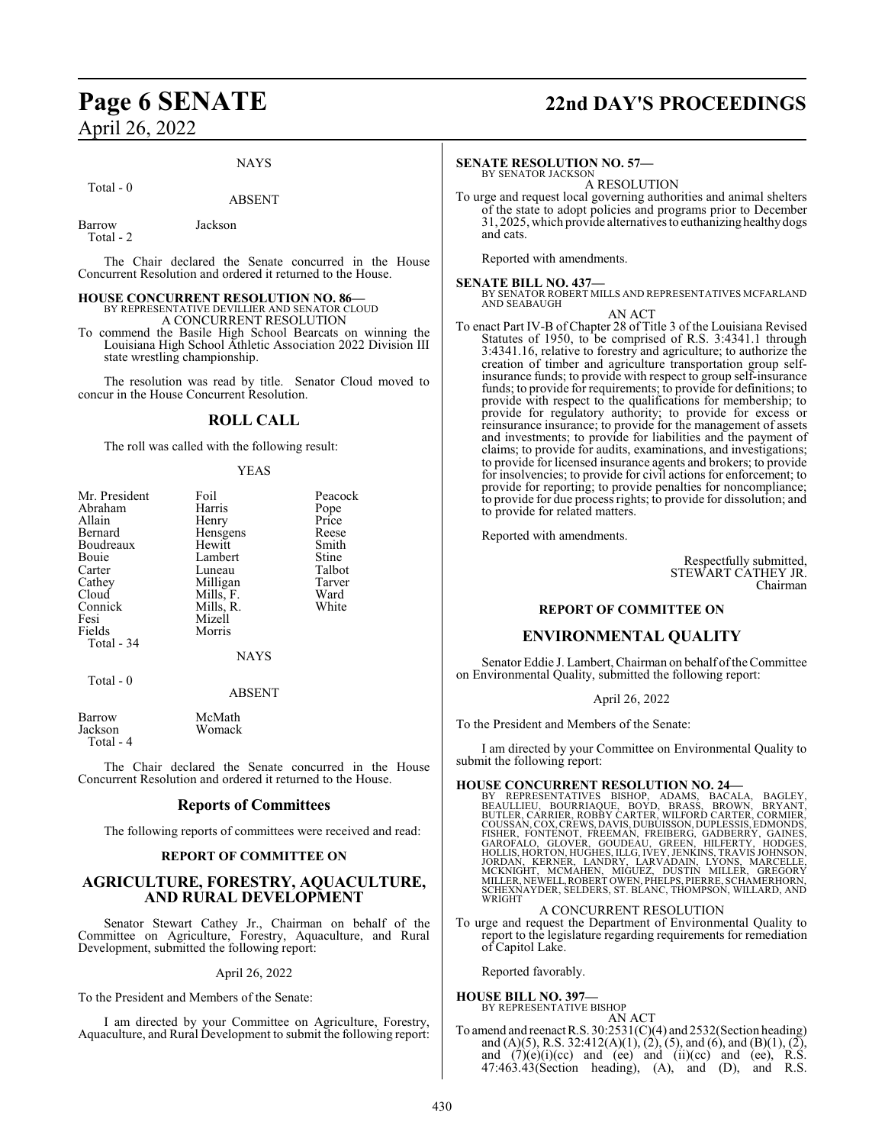#### NAYS

#### Total - 0

#### ABSENT

Barrow Jackson Total - 2

The Chair declared the Senate concurred in the House Concurrent Resolution and ordered it returned to the House.

#### **HOUSE CONCURRENT RESOLUTION NO. 86—**

BY REPRESENTATIVE DEVILLIER AND SENATOR CLOUD A CONCURRENT RESOLUTION

To commend the Basile High School Bearcats on winning the Louisiana High School Athletic Association 2022 Division III state wrestling championship.

The resolution was read by title. Senator Cloud moved to concur in the House Concurrent Resolution.

#### **ROLL CALL**

The roll was called with the following result:

#### YEAS

| Mr. President | Foil        | Peacock |
|---------------|-------------|---------|
| Abraham       | Harris      | Pope    |
| Allain        | Henry       | Price   |
| Bernard       | Hensgens    | Reese   |
| Boudreaux     | Hewitt      | Smith   |
| Bouie         | Lambert     | Stine   |
| Carter        | Luneau      | Talbot  |
| Cathey        | Milligan    | Tarver  |
| Cloud         | Mills, F.   | Ward    |
| Connick       | Mills, R.   | White   |
| Fesi          | Mizell      |         |
| Fields        | Morris      |         |
| Total - 34    |             |         |
|               | <b>NAYS</b> |         |
| Total - 0     | ABSENT      |         |

| Barrow    | McMath |
|-----------|--------|
| Jackson   | Womack |
| Total - 4 |        |

The Chair declared the Senate concurred in the House Concurrent Resolution and ordered it returned to the House.

#### **Reports of Committees**

The following reports of committees were received and read:

#### **REPORT OF COMMITTEE ON**

#### **AGRICULTURE, FORESTRY, AQUACULTURE, AND RURAL DEVELOPMENT**

Senator Stewart Cathey Jr., Chairman on behalf of the Committee on Agriculture, Forestry, Aquaculture, and Rural Development, submitted the following report:

April 26, 2022

To the President and Members of the Senate:

I am directed by your Committee on Agriculture, Forestry, Aquaculture, and Rural Development to submit the following report:

# **Page 6 SENATE 22nd DAY'S PROCEEDINGS**

#### **SENATE RESOLUTION NO. 57—**

BY SENATOR JACKSON A RESOLUTION

To urge and request local governing authorities and animal shelters of the state to adopt policies and programs prior to December 31, 2025, which provide alternatives to euthanizing healthy dogs and cats.

Reported with amendments.

**SENATE BILL NO. 437—** BY SENATOR ROBERT MILLS AND REPRESENTATIVES MCFARLAND AND SEABAUGH

AN ACT

To enact Part IV-B of Chapter 28 of Title 3 of the Louisiana Revised Statutes of 1950, to be comprised of R.S. 3:4341.1 through 3:4341.16, relative to forestry and agriculture; to authorize the creation of timber and agriculture transportation group selfinsurance funds; to provide with respect to group self-insurance funds; to provide for requirements; to provide for definitions; to provide with respect to the qualifications for membership; to provide for regulatory authority; to provide for excess or reinsurance insurance; to provide for the management of assets and investments; to provide for liabilities and the payment of claims; to provide for audits, examinations, and investigations; to provide for licensed insurance agents and brokers; to provide for insolvencies; to provide for civil actions for enforcement; to provide for reporting; to provide penalties for noncompliance; to provide for due process rights; to provide for dissolution; and to provide for related matters.

Reported with amendments.

Respectfully submitted, STEWART CATHEY JR. Chairman

#### **REPORT OF COMMITTEE ON**

#### **ENVIRONMENTAL QUALITY**

Senator Eddie J. Lambert, Chairman on behalf of the Committee on Environmental Quality, submitted the following report:

April 26, 2022

To the President and Members of the Senate:

I am directed by your Committee on Environmental Quality to submit the following report:

HOUSE CONCURRENT RESOLUTION NO. 24—<br>BY REPRESENTATIVES BISHOP, ADAMS, BAGLA, BAGLEY,<br>BEAULLIEU, BOURRIAQUE, BOYD, BRASS, BROWN, BRYANT,<br>BUTLER, CARRIER, ROBBY CARTER, WILFORD CARTER, CORMIER,<br>COUSSAN, COX, CREWS, DAVIS, DU

#### A CONCURRENT RESOLUTION

To urge and request the Department of Environmental Quality to report to the legislature regarding requirements for remediation of Capitol Lake.

Reported favorably.

**HOUSE BILL NO. 397—**

BY REPRESENTATIVE BISHOP

AN ACT To amend and reenact R.S.  $30:2531(C)(4)$  and  $2532(Section heading)$ and (A)(5), R.S. 32:412(A)(1), (2), (5), and (6), and (B)(1), (2), and  $(7)(e)(i)(ce)$  and  $(ee)$  and  $(ii)(ce)$  and  $(ee)$ , R.S. 47:463.43(Section heading), (A), and (D), and R.S.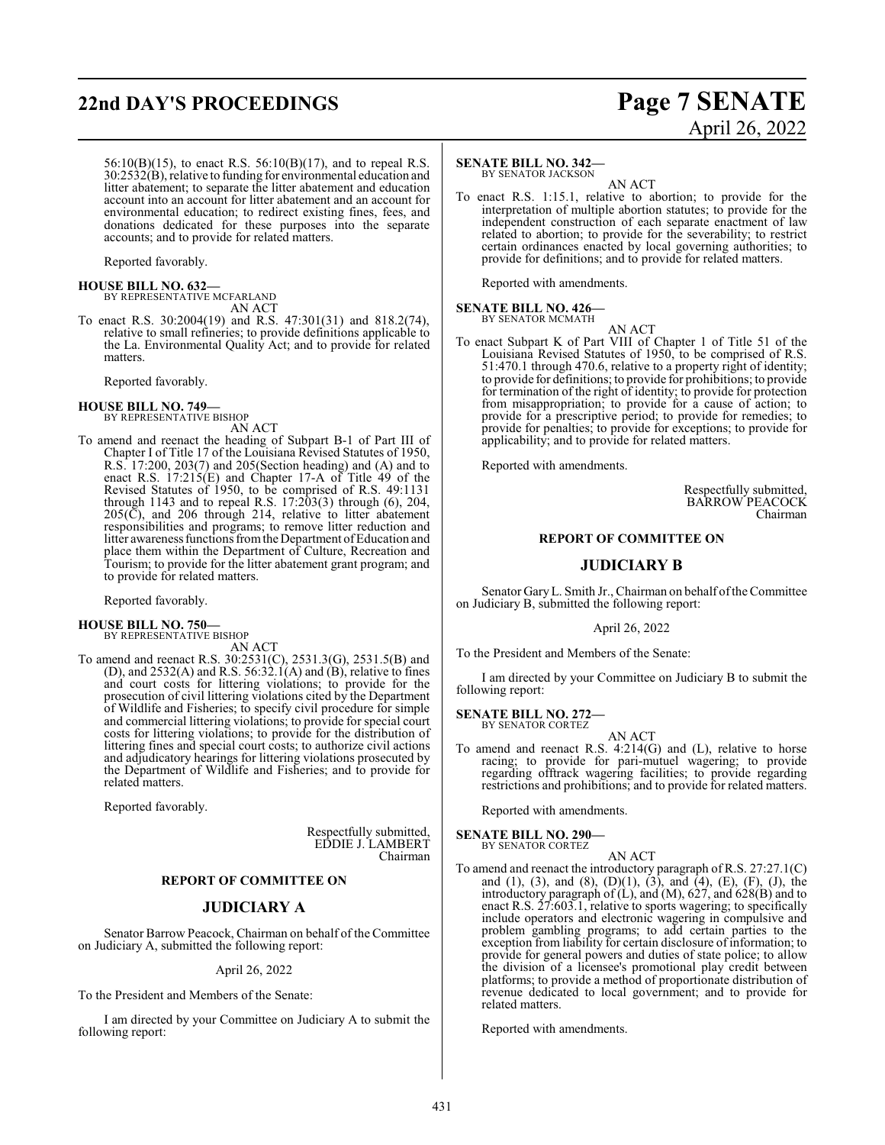# **22nd DAY'S PROCEEDINGS Page 7 SENATE**

# April 26, 2022

56:10(B)(15), to enact R.S. 56:10(B)(17), and to repeal R.S.  $30:25\overline{32(B)}$ , relative to funding for environmental education and litter abatement; to separate the litter abatement and education account into an account for litter abatement and an account for environmental education; to redirect existing fines, fees, and donations dedicated for these purposes into the separate accounts; and to provide for related matters.

Reported favorably.

## **HOUSE BILL NO. 632—**

BY REPRESENTATIVE MCFARLAND AN ACT

To enact R.S. 30:2004(19) and R.S. 47:301(31) and 818.2(74), relative to small refineries; to provide definitions applicable to the La. Environmental Quality Act; and to provide for related matters.

Reported favorably.

#### **HOUSE BILL NO. 749—**

BY REPRESENTATIVE BISHOP AN ACT

To amend and reenact the heading of Subpart B-1 of Part III of Chapter I of Title 17 of the Louisiana Revised Statutes of 1950, R.S. 17:200, 203(7) and 205(Section heading) and (A) and to enact R.S. 17:215(E) and Chapter 17-A of Title 49 of the Revised Statutes of 1950, to be comprised of R.S. 49:1131 through 1143 and to repeal R.S. 17:203(3) through (6), 204,  $205(\overline{C})$ , and  $206$  through 214, relative to litter abatement responsibilities and programs; to remove litter reduction and litter awareness functions from the Department of Education and place them within the Department of Culture, Recreation and Tourism; to provide for the litter abatement grant program; and to provide for related matters.

Reported favorably.

#### **HOUSE BILL NO. 750—** BY REPRESENTATIVE BISHOP

AN ACT

To amend and reenact R.S. 30:2531(C), 2531.3(G), 2531.5(B) and (D), and  $2532(A)$  and R.S. 56:32.1(A) and (B), relative to fines and court costs for littering violations; to provide for the prosecution of civil littering violations cited by the Department of Wildlife and Fisheries; to specify civil procedure for simple and commercial littering violations; to provide for special court costs for littering violations; to provide for the distribution of littering fines and special court costs; to authorize civil actions and adjudicatory hearings for littering violations prosecuted by the Department of Wildlife and Fisheries; and to provide for related matters.

Reported favorably.

Respectfully submitted, EDDIE J. LAMBERT Chairman

#### **REPORT OF COMMITTEE ON**

#### **JUDICIARY A**

Senator Barrow Peacock, Chairman on behalf of the Committee on Judiciary A, submitted the following report:

April 26, 2022

To the President and Members of the Senate:

I am directed by your Committee on Judiciary A to submit the following report:

#### **SENATE BILL NO. 342—**

BY SENATOR JACKSON

AN ACT To enact R.S. 1:15.1, relative to abortion; to provide for the interpretation of multiple abortion statutes; to provide for the independent construction of each separate enactment of law related to abortion; to provide for the severability; to restrict certain ordinances enacted by local governing authorities; to provide for definitions; and to provide for related matters.

Reported with amendments.

**SENATE BILL NO. 426—** BY SENATOR MCMATH

AN ACT

To enact Subpart K of Part VIII of Chapter 1 of Title 51 of the Louisiana Revised Statutes of 1950, to be comprised of R.S. 51:470.1 through 470.6, relative to a property right of identity; to provide for definitions; to provide for prohibitions; to provide for termination of the right of identity; to provide for protection from misappropriation; to provide for a cause of action; to provide for a prescriptive period; to provide for remedies; to provide for penalties; to provide for exceptions; to provide for applicability; and to provide for related matters.

Reported with amendments.

Respectfully submitted, BARROW PEACOCK Chairman

#### **REPORT OF COMMITTEE ON**

#### **JUDICIARY B**

Senator GaryL. Smith Jr., Chairman on behalf ofthe Committee on Judiciary B, submitted the following report:

April 26, 2022

To the President and Members of the Senate:

I am directed by your Committee on Judiciary B to submit the following report:

# **SENATE BILL NO. 272—** BY SENATOR CORTEZ

AN ACT

To amend and reenact R.S. 4:214(G) and (L), relative to horse racing; to provide for pari-mutuel wagering; to provide regarding offtrack wagering facilities; to provide regarding restrictions and prohibitions; and to provide for related matters.

Reported with amendments.

**SENATE BILL NO. 290—** BY SENATOR CORTEZ

AN ACT

To amend and reenact the introductory paragraph of R.S. 27:27.1(C) and (1), (3), and (8), (D)(1), (3), and (4), (E), (F), (J), the introductory paragraph of (L), and (M), 627, and 628(B) and to enact R.S. 27:603.1, relative to sports wagering; to specifically include operators and electronic wagering in compulsive and problem gambling programs; to add certain parties to the exception from liability for certain disclosure of information; to provide for general powers and duties of state police; to allow the division of a licensee's promotional play credit between platforms; to provide a method of proportionate distribution of revenue dedicated to local government; and to provide for related matters.

Reported with amendments.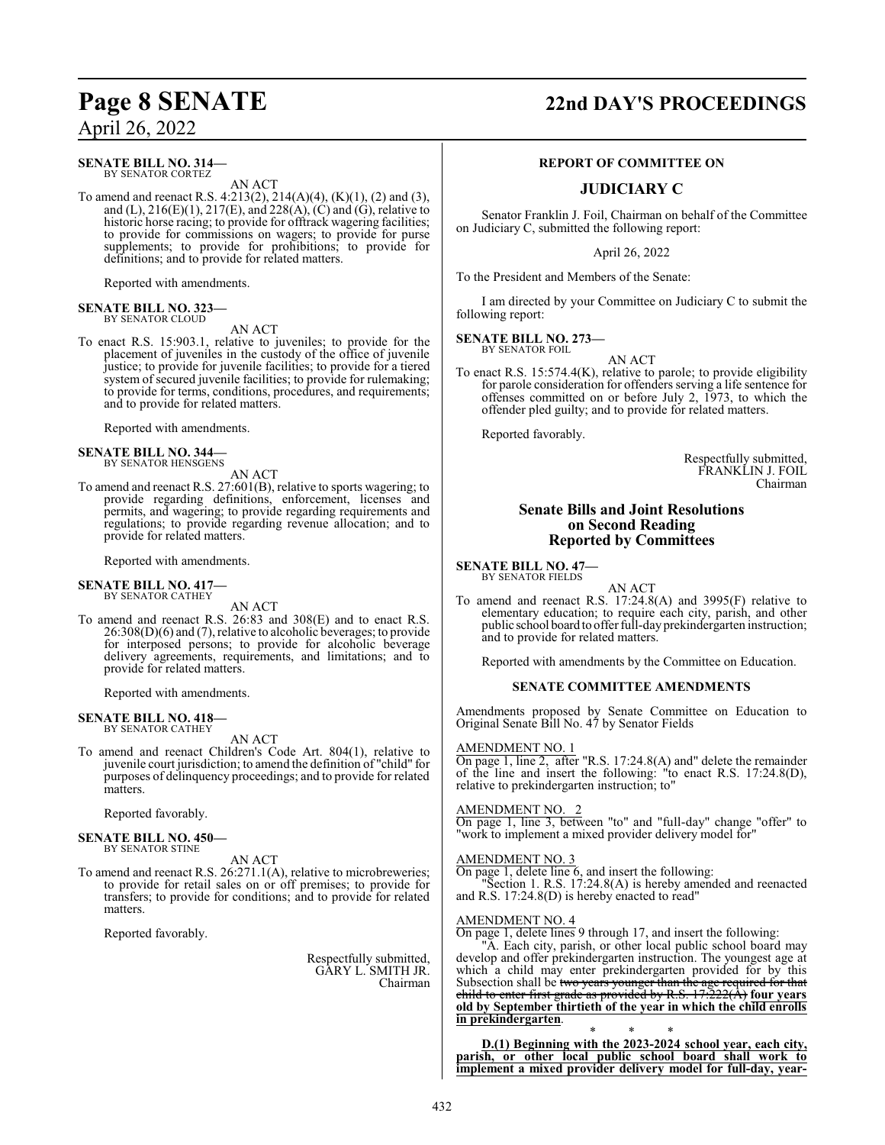#### **SENATE BILL NO. 314—** BY SENATOR CORTEZ

AN ACT

To amend and reenact R.S. 4:213(2), 214(A)(4), (K)(1), (2) and (3), and (L),  $216(E)(1)$ ,  $217(E)$ , and  $228(A)$ , (C) and (G), relative to historic horse racing; to provide for offtrack wagering facilities; to provide for commissions on wagers; to provide for purse supplements; to provide for prohibitions; to provide for definitions; and to provide for related matters.

Reported with amendments.

#### **SENATE BILL NO. 323—** BY SENATOR CLOUD

AN ACT

To enact R.S. 15:903.1, relative to juveniles; to provide for the placement of juveniles in the custody of the office of juvenile justice; to provide for juvenile facilities; to provide for a tiered system of secured juvenile facilities; to provide for rulemaking; to provide for terms, conditions, procedures, and requirements; and to provide for related matters.

Reported with amendments.

#### **SENATE BILL NO. 344—** BY SENATOR HENSGENS

AN ACT

To amend and reenact R.S. 27:601(B), relative to sports wagering; to provide regarding definitions, enforcement, licenses and permits, and wagering; to provide regarding requirements and regulations; to provide regarding revenue allocation; and to provide for related matters.

Reported with amendments.

# **SENATE BILL NO. 417—** BY SENATOR CATHEY

AN ACT

To amend and reenact R.S. 26:83 and 308(E) and to enact R.S. 26:308(D)(6) and (7), relative to alcoholic beverages; to provide for interposed persons; to provide for alcoholic beverage delivery agreements, requirements, and limitations; and to provide for related matters.

Reported with amendments.

#### **SENATE BILL NO. 418—** BY SENATOR CATHEY

AN ACT

To amend and reenact Children's Code Art. 804(1), relative to juvenile court jurisdiction; to amend the definition of "child" for purposes of delinquency proceedings; and to provide for related matters.

Reported favorably.

#### **SENATE BILL NO. 450—** BY SENATOR STINE

AN ACT

To amend and reenact R.S. 26:271.1(A), relative to microbreweries; to provide for retail sales on or off premises; to provide for transfers; to provide for conditions; and to provide for related matters.

Reported favorably.

Respectfully submitted, GARY L. SMITH JR. Chairman

# **Page 8 SENATE 22nd DAY'S PROCEEDINGS**

#### **REPORT OF COMMITTEE ON**

### **JUDICIARY C**

Senator Franklin J. Foil, Chairman on behalf of the Committee on Judiciary C, submitted the following report:

April 26, 2022

To the President and Members of the Senate:

I am directed by your Committee on Judiciary C to submit the following report:

#### **SENATE BILL NO. 273—**

BY SENATOR FOIL AN ACT

To enact R.S. 15:574.4(K), relative to parole; to provide eligibility for parole consideration for offenders serving a life sentence for offenses committed on or before July 2, 1973, to which the offender pled guilty; and to provide for related matters.

Reported favorably.

Respectfully submitted, FRANKLIN J. FOIL Chairman

#### **Senate Bills and Joint Resolutions on Second Reading Reported by Committees**

#### **SENATE BILL NO. 47—** BY SENATOR FIELDS

AN ACT

To amend and reenact R.S. 17:24.8(A) and 3995(F) relative to elementary education; to require each city, parish, and other public school board to offer full-dayprekindergarten instruction; and to provide for related matters.

Reported with amendments by the Committee on Education.

#### **SENATE COMMITTEE AMENDMENTS**

Amendments proposed by Senate Committee on Education to Original Senate Bill No. 47 by Senator Fields

#### AMENDMENT NO. 1

On page 1, line 2, after "R.S. 17:24.8(A) and" delete the remainder of the line and insert the following: "to enact R.S. 17:24.8(D), relative to prekindergarten instruction; to"

#### AMENDMENT NO. 2

On page 1, line 3, between "to" and "full-day" change "offer" to "work to implement a mixed provider delivery model for"

#### AMENDMENT NO. 3

On page 1, delete line 6, and insert the following:

"Section 1. R.S. 17:24.8(A) is hereby amended and reenacted and R.S. 17:24.8(D) is hereby enacted to read"

#### AMENDMENT NO. 4

On page 1, delete lines 9 through 17, and insert the following: "A. Each city, parish, or other local public school board may develop and offer prekindergarten instruction. The youngest age at which a child may enter prekindergarten provided for by this Subsection shall be two years younger than the age required for that child to enter first grade as provided by R.S. 17:222(A) **four years old by September thirtieth of the year in which the child enrolls in prekindergarten**.

\* \* \* **D.(1) Beginning with the 2023-2024 school year, each city, parish, or other local public school board shall work to implement a mixed provider delivery model for full-day, year-**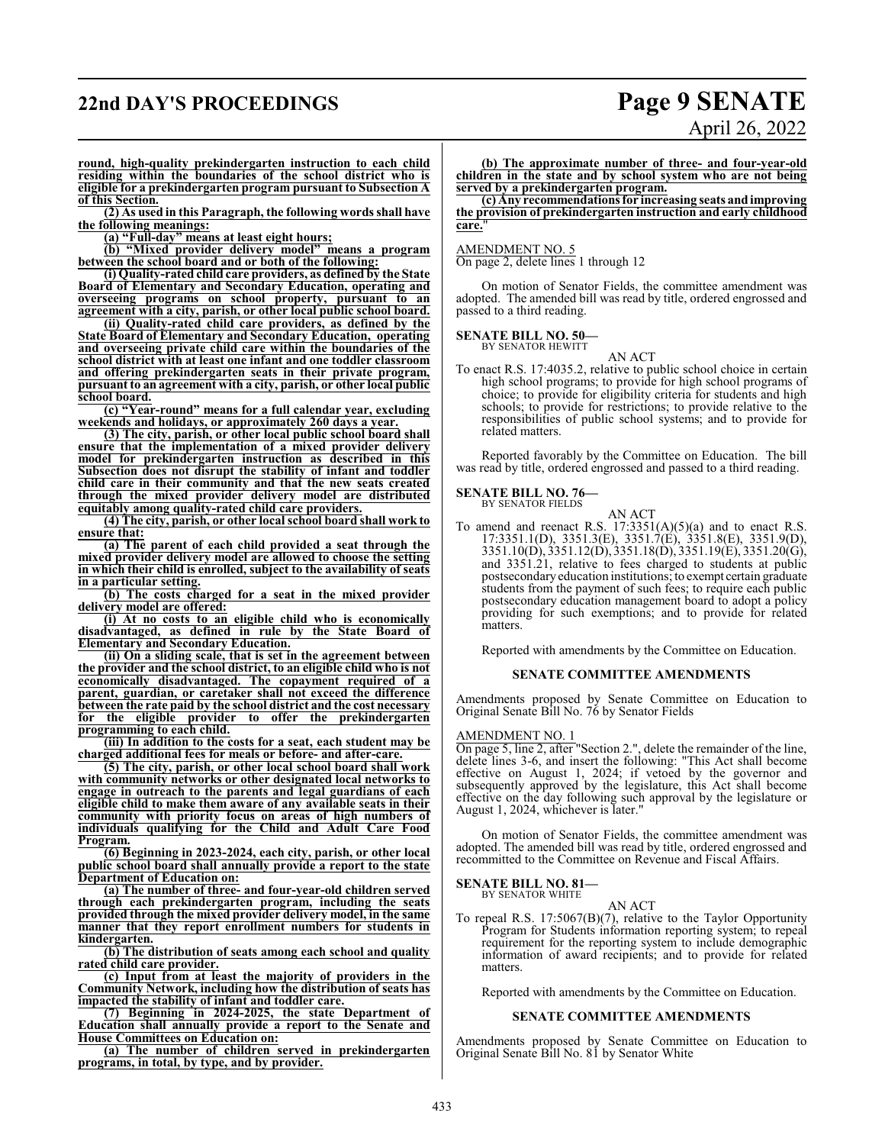# **22nd DAY'S PROCEEDINGS Page 9 SENATE**

# April 26, 2022

**round, high-quality prekindergarten instruction to each child residing within the boundaries of the school district who is eligible for a prekindergarten program pursuant to Subsection A of this Section.**

**(2) As used in this Paragraph, the following words shall have the following meanings:**

**(a) "Full-day" means at least eight hours;**

**(b) "Mixed provider delivery model" means a program between the school board and or both of the following:**

**(i) Quality-rated child care providers, as defined by the State Board of Elementary and Secondary Education, operating and overseeing programs on school property, pursuant to an agreement with a city, parish, or other local public school board.**

**(ii) Quality-rated child care providers, as defined by the State Board of Elementary and Secondary Education, operating and overseeing private child care within the boundaries of the school district with at least one infant and one toddler classroom and offering prekindergarten seats in their private program, pursuant to an agreement with a city, parish, or other local public school board.**

**(c) "Year-round" means for a full calendar year, excluding weekends and holidays, or approximately 260 days a year.**

**(3) The city, parish, or other local public school board shall ensure that the implementation of a mixed provider delivery model for prekindergarten instruction as described in this Subsection does not disrupt the stability of infant and toddler child care in their community and that the new seats created through the mixed provider delivery model are distributed equitably among quality-rated child care providers.**

**(4) The city, parish, or other local school board shall work to ensure that:**

**(a) The parent of each child provided a seat through the mixed provider delivery model are allowed to choose the setting in which their child is enrolled, subject to the availability of seats in a particular setting.**

**(b) The costs charged for a seat in the mixed provider delivery model are offered:**

**(i) At no costs to an eligible child who is economically disadvantaged, as defined in rule by the State Board of Elementary and Secondary Education.**

**(ii) On a sliding scale, that is set in the agreement between the provider and the school district, to an eligible child who is not economically disadvantaged. The copayment required of a parent, guardian, or caretaker shall not exceed the difference between the rate paid by the school district and the cost necessary for the eligible provider to offer the prekindergarten programming to each child.**

**(iii) In addition to the costs for a seat, each student may be charged additional fees for meals or before- and after-care.**

**(5) The city, parish, or other local school board shall work with community networks or other designated local networks to engage in outreach to the parents and legal guardians of each eligible child to make them aware of any available seats in their community with priority focus on areas of high numbers of individuals qualifying for the Child and Adult Care Food Program.**

**(6) Beginning in 2023-2024, each city, parish, or other local public school board shall annually provide a report to the state Department of Education on:**

**(a) The number of three- and four-year-old children served through each prekindergarten program, including the seats provided through the mixed provider delivery model, in the same manner that they report enrollment numbers for students in kindergarten.**

**(b) The distribution of seats among each school and quality rated child care provider.**

**(c) Input from at least the majority of providers in the Community Network, including how the distribution of seats has impacted the stability of infant and toddler care.**

**(7) Beginning in 2024-2025, the state Department of Education shall annually provide a report to the Senate and House Committees on Education on:**

**(a) The number of children served in prekindergarten programs, in total, by type, and by provider.**

**(b) The approximate number of three- and four-year-old children in the state and by school system who are not being served by a prekindergarten program.**

**(c) Any recommendations for increasing seats andimproving the provision of prekindergarten instruction and early childhood** care.

#### AMENDMENT NO. 5

On page 2, delete lines 1 through 12

On motion of Senator Fields, the committee amendment was adopted. The amended bill was read by title, ordered engrossed and passed to a third reading.

#### **SENATE BILL NO. 50—**

BY SENATOR HEWITT AN ACT

To enact R.S. 17:4035.2, relative to public school choice in certain high school programs; to provide for high school programs of choice; to provide for eligibility criteria for students and high schools; to provide for restrictions; to provide relative to the responsibilities of public school systems; and to provide for related matters.

Reported favorably by the Committee on Education. The bill was read by title, ordered engrossed and passed to a third reading.

#### **SENATE BILL NO. 76—**

BY SENATOR FIELDS

AN ACT To amend and reenact R.S.  $17:3351(A)(5)(a)$  and to enact R.S. 17:3351.1(D), 3351.3(E), 3351.7(E), 3351.8(E), 3351.9(D), 3351.10(D), 3351.12(D), 3351.18(D), 3351.19(E), 3351.20(G), and 3351.21, relative to fees charged to students at public postsecondaryeducation institutions; to exempt certain graduate students from the payment of such fees; to require each public postsecondary education management board to adopt a policy providing for such exemptions; and to provide for related matters.

Reported with amendments by the Committee on Education.

#### **SENATE COMMITTEE AMENDMENTS**

Amendments proposed by Senate Committee on Education to Original Senate Bill No. 76 by Senator Fields

#### AMENDMENT NO. 1

On page 5, line 2, after "Section 2.", delete the remainder of the line, delete lines 3-6, and insert the following: "This Act shall become effective on August 1, 2024; if vetoed by the governor and subsequently approved by the legislature, this Act shall become effective on the day following such approval by the legislature or August 1, 2024, whichever is later."

On motion of Senator Fields, the committee amendment was adopted. The amended bill was read by title, ordered engrossed and recommitted to the Committee on Revenue and Fiscal Affairs.

#### **SENATE BILL NO. 81—**

BY SENATOR WHITE AN ACT

To repeal R.S. 17:5067(B)(7), relative to the Taylor Opportunity Program for Students information reporting system; to repeal requirement for the reporting system to include demographic information of award recipients; and to provide for related matters.

Reported with amendments by the Committee on Education.

#### **SENATE COMMITTEE AMENDMENTS**

Amendments proposed by Senate Committee on Education to Original Senate Bill No. 81 by Senator White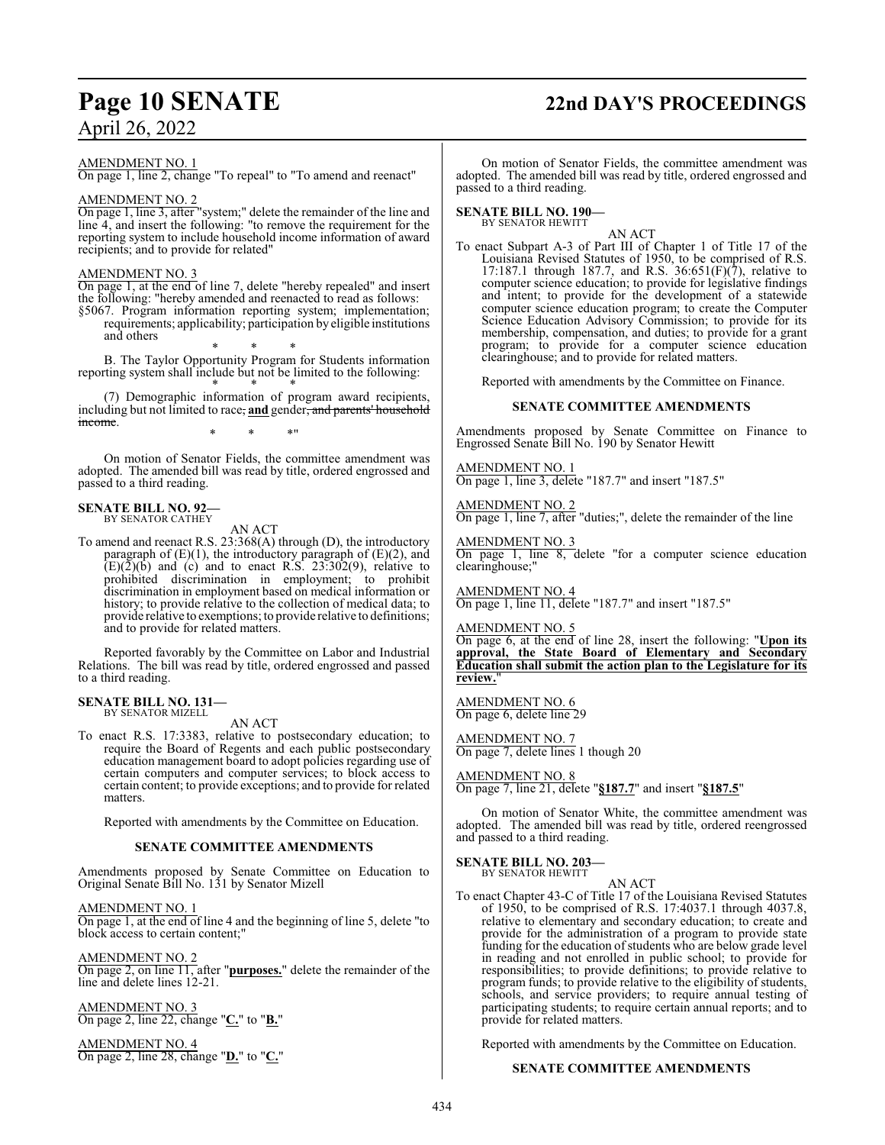# **Page 10 SENATE 22nd DAY'S PROCEEDINGS**

AMENDMENT NO. 1

On page 1, line 2, change "To repeal" to "To amend and reenact"

#### AMENDMENT NO. 2

On page 1, line 3, after "system;" delete the remainder of the line and line 4, and insert the following: "to remove the requirement for the reporting system to include household income information of award recipients; and to provide for related"

#### AMENDMENT NO. 3

On page 1, at the end of line 7, delete "hereby repealed" and insert the following: "hereby amended and reenacted to read as follows:

§5067. Program information reporting system; implementation; requirements; applicability; participation by eligible institutions and others

\* \* \* B. The Taylor Opportunity Program for Students information reporting system shall include but not be limited to the following:

\* \* \* (7) Demographic information of program award recipients, including but not limited to race, **and** gender, and parents' household income.

\* \* \*"

On motion of Senator Fields, the committee amendment was adopted. The amended bill was read by title, ordered engrossed and passed to a third reading.

#### **SENATE BILL NO. 92—** BY SENATOR CATHEY

AN ACT

To amend and reenact R.S. 23:368(A) through (D), the introductory paragraph of  $(E)(1)$ , the introductory paragraph of  $(E)(2)$ , and  $(E)(\overline{2})(\overline{b})$  and (c) and to enact R.S. 23:302(9), relative to prohibited discrimination in employment; to prohibit discrimination in employment based on medical information or history; to provide relative to the collection of medical data; to provide relative to exemptions; to provide relative to definitions; and to provide for related matters.

Reported favorably by the Committee on Labor and Industrial Relations. The bill was read by title, ordered engrossed and passed to a third reading.

#### **SENATE BILL NO. 131—** BY SENATOR MIZELL

AN ACT

To enact R.S. 17:3383, relative to postsecondary education; to require the Board of Regents and each public postsecondary education management board to adopt policies regarding use of certain computers and computer services; to block access to certain content; to provide exceptions; and to provide for related matters.

Reported with amendments by the Committee on Education.

#### **SENATE COMMITTEE AMENDMENTS**

Amendments proposed by Senate Committee on Education to Original Senate Bill No. 131 by Senator Mizell

AMENDMENT NO. 1

On page 1, at the end of line 4 and the beginning of line 5, delete "to block access to certain content;"

AMENDMENT NO. 2

On page 2, on line 11, after "**purposes.**" delete the remainder of the line and delete lines 12-21.

AMENDMENT NO. 3 On page 2, line 22, change "**C.**" to "**B.**"

AMENDMENT NO. 4 On page 2, line 28, change "**D.**" to "**C.**"

On motion of Senator Fields, the committee amendment was adopted. The amended bill was read by title, ordered engrossed and passed to a third reading.

#### **SENATE BILL NO. 190—**

BY SENATOR HEWITT

AN ACT To enact Subpart A-3 of Part III of Chapter 1 of Title 17 of the Louisiana Revised Statutes of 1950, to be comprised of R.S. 17:187.1 through 187.7, and R.S.  $36:651(F)(7)$ , relative to computer science education; to provide for legislative findings and intent; to provide for the development of a statewide computer science education program; to create the Computer Science Education Advisory Commission; to provide for its membership, compensation, and duties; to provide for a grant program; to provide for a computer science education clearinghouse; and to provide for related matters.

Reported with amendments by the Committee on Finance.

#### **SENATE COMMITTEE AMENDMENTS**

Amendments proposed by Senate Committee on Finance to Engrossed Senate Bill No. 190 by Senator Hewitt

AMENDMENT NO. 1 On page 1, line 3, delete "187.7" and insert "187.5"

AMENDMENT NO. 2

On page 1, line 7, after "duties;", delete the remainder of the line

AMENDMENT NO. 3 On page 1, line 8, delete "for a computer science education clearinghouse;"

AMENDMENT NO. 4 On page 1, line 11, delete "187.7" and insert "187.5"

AMENDMENT NO. 5

On page 6, at the end of line 28, insert the following: "**Upon its approval, the State Board of Elementary and Secondary Education shall submit the action plan to the Legislature for its review.**"

AMENDMENT NO. 6 On page 6, delete line 29

AMENDMENT NO. 7

On page 7, delete lines 1 though 20

AMENDMENT NO. 8 On page 7, line 21, delete "**§187.7**" and insert "**§187.5**"

On motion of Senator White, the committee amendment was adopted. The amended bill was read by title, ordered reengrossed and passed to a third reading.

#### **SENATE BILL NO. 203—** BY SENATOR HEWITT

AN ACT

To enact Chapter 43-C of Title 17 of the Louisiana Revised Statutes of 1950, to be comprised of R.S. 17:4037.1 through 4037.8, relative to elementary and secondary education; to create and provide for the administration of a program to provide state funding for the education of students who are below grade level in reading and not enrolled in public school; to provide for responsibilities; to provide definitions; to provide relative to program funds; to provide relative to the eligibility of students, schools, and service providers; to require annual testing of participating students; to require certain annual reports; and to provide for related matters.

Reported with amendments by the Committee on Education.

#### **SENATE COMMITTEE AMENDMENTS**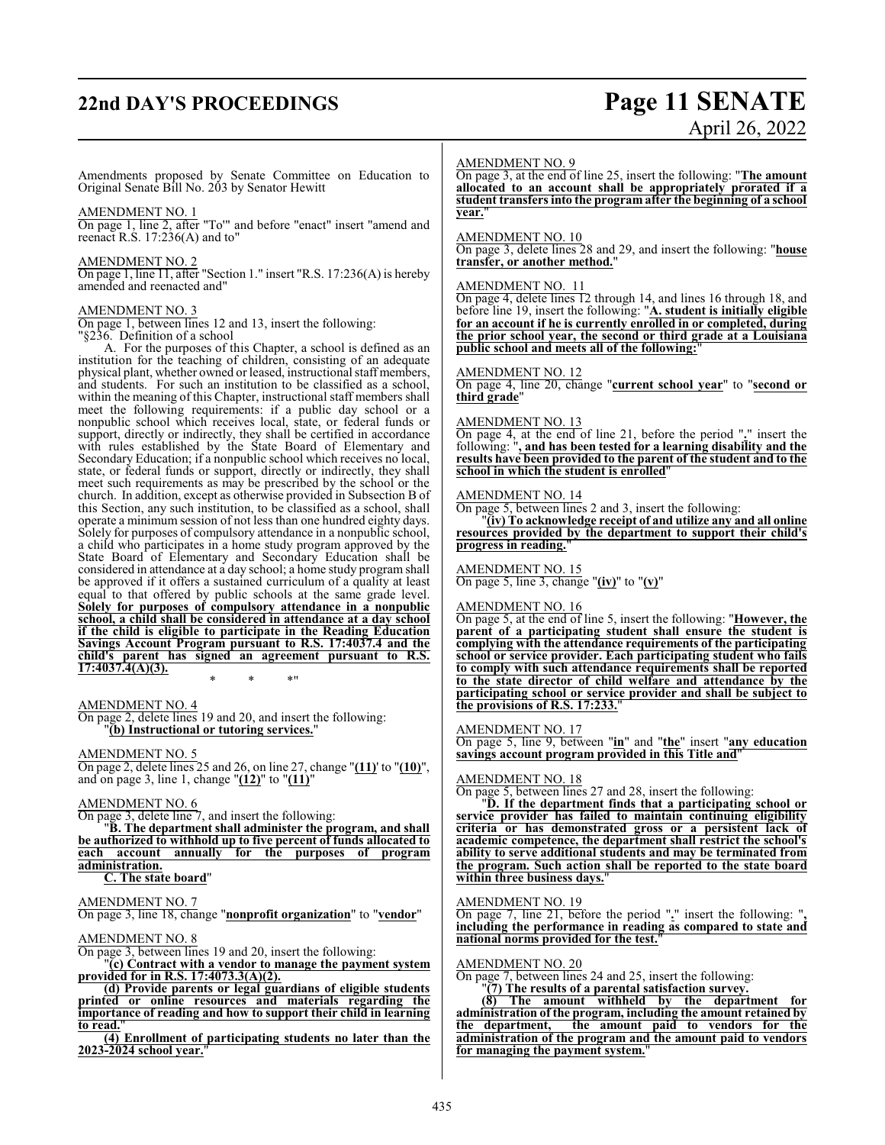# **22nd DAY'S PROCEEDINGS Page 11 SENATE**

# April 26, 2022

Amendments proposed by Senate Committee on Education to Original Senate Bill No. 203 by Senator Hewitt

#### AMENDMENT NO. 1

On page 1, line 2, after "To'" and before "enact" insert "amend and reenact R.S.  $17:236(A)$  and to"

#### AMENDMENT NO. 2

On page 1, line 11, after "Section 1." insert "R.S. 17:236(A) is hereby amended and reenacted and"

#### AMENDMENT NO. 3

On page 1, between lines 12 and 13, insert the following:

"§236. Definition of a school

A. For the purposes of this Chapter, a school is defined as an institution for the teaching of children, consisting of an adequate physical plant, whether owned or leased, instructional staff members, and students. For such an institution to be classified as a school, within the meaning of this Chapter, instructional staff members shall meet the following requirements: if a public day school or a nonpublic school which receives local, state, or federal funds or support, directly or indirectly, they shall be certified in accordance with rules established by the State Board of Elementary and Secondary Education; if a nonpublic school which receives no local, state, or federal funds or support, directly or indirectly, they shall meet such requirements as may be prescribed by the school or the church. In addition, except as otherwise provided in Subsection B of this Section, any such institution, to be classified as a school, shall operate a minimum session of not less than one hundred eighty days. Solely for purposes of compulsory attendance in a nonpublic school, a child who participates in a home study program approved by the State Board of Elementary and Secondary Education shall be considered in attendance at a day school; a home study program shall be approved if it offers a sustained curriculum of a quality at least equal to that offered by public schools at the same grade level. **Solely for purposes of compulsory attendance in a nonpublic school, a child shall be considered in attendance at a day school if the child is eligible to participate in the Reading Education Savings Account Program pursuant to R.S. 17:4037.4 and the child's parent has signed an agreement pursuant to R.S. 17:4037.4(A)(3).**

\* \* \*"

AMENDMENT NO. 4

On page 2, delete lines 19 and 20, and insert the following: "**(b) Instructional or tutoring services.**"

#### AMENDMENT NO. 5

On page 2, delete lines 25 and 26, on line 27, change "**(11)**' to "**(10)**", and on page 3, line 1, change "**(12)**" to "**(11)**"

#### AMENDMENT NO. 6

On page 3, delete line 7, and insert the following:

"**B. The department shall administer the program, and shall be authorized to withhold up to five percent of funds allocated to each account annually for the purposes of program administration.**

#### **C. The state board**"

#### AMENDMENT NO. 7

On page 3, line 18, change "**nonprofit organization**" to "**vendor**"

#### AMENDMENT NO. 8

On page 3, between lines 19 and 20, insert the following:

"**(c) Contract with a vendor to manage the payment system provided for in R.S. 17:4073.3(A)(2).**

**(d) Provide parents or legal guardians of eligible students printed or online resources and materials regarding the importance of reading and how to support their child in learning to read.**"

**(4) Enrollment of participating students no later than the 2023-2024 school year.**"

#### AMENDMENT NO. 9

On page 3, at the end of line 25, insert the following: "**The amount allocated to an account shall be appropriately prorated if a student transfers into the program after the beginning of a school year.**"

#### AMENDMENT NO. 10

On page 3, delete lines 28 and 29, and insert the following: "**house transfer, or another method.**"

#### AMENDMENT NO. 11

On page 4, delete lines 12 through 14, and lines 16 through 18, and before line 19, insert the following: "**A. student is initially eligible for an account if he is currently enrolled in or completed, during the prior school year, the second or third grade at a Louisiana** public school and meets all of the following:

#### AMENDMENT NO. 12

On page 4, line 20, change "**current school year**" to "**second or third grade**"

#### AMENDMENT NO. 13

On page 4, at the end of line 21, before the period "**.**" insert the following: "**, and has been tested for a learning disability and the results have been provided to the parent of the student and to the school in which the student is enrolled**"

#### AMENDMENT NO. 14

On page 5, between lines 2 and 3, insert the following:

"**(iv) To acknowledge receipt of and utilize any and all online resources provided by the department to support their child's progress in reading.**"

#### AMENDMENT NO. 15

On page 5, line 3, change "**(iv)**" to "**(v)**"

#### AMENDMENT NO. 16

On page 5, at the end of line 5, insert the following: "**However, the parent of a participating student shall ensure the student is complying with the attendance requirements of the participating school or service provider. Each participating student who fails to comply with such attendance requirements shall be reported to the state director of child welfare and attendance by the participating school or service provider and shall be subject to the provisions of R.S. 17:233.**"

#### AMENDMENT NO. 17

On page 5, line 9, between "**in**" and "**the**" insert "**any education savings account program provided in this Title and**"

#### AMENDMENT NO. 18

On page 5, between lines 27 and 28, insert the following:

"**D. If the department finds that a participating school or service provider has failed to maintain continuing eligibility criteria or has demonstrated gross or a persistent lack of academic competence, the department shall restrict the school's ability to serve additional students and may be terminated from the program. Such action shall be reported to the state board within three business days.**"

#### AMENDMENT NO. 19

On page 7, line 21, before the period "**.**" insert the following: "**, including the performance in reading as compared to state and national norms provided for the test.**"

#### AMENDMENT NO. 20

On page 7, between lines 24 and 25, insert the following:

"**(7) The results of a parental satisfaction survey.**

**(8) The amount withheld by the department for administration of the program, including the amount retained by the department, the amount paid to vendors for the administration of the program and the amount paid to vendors for managing the payment system.**"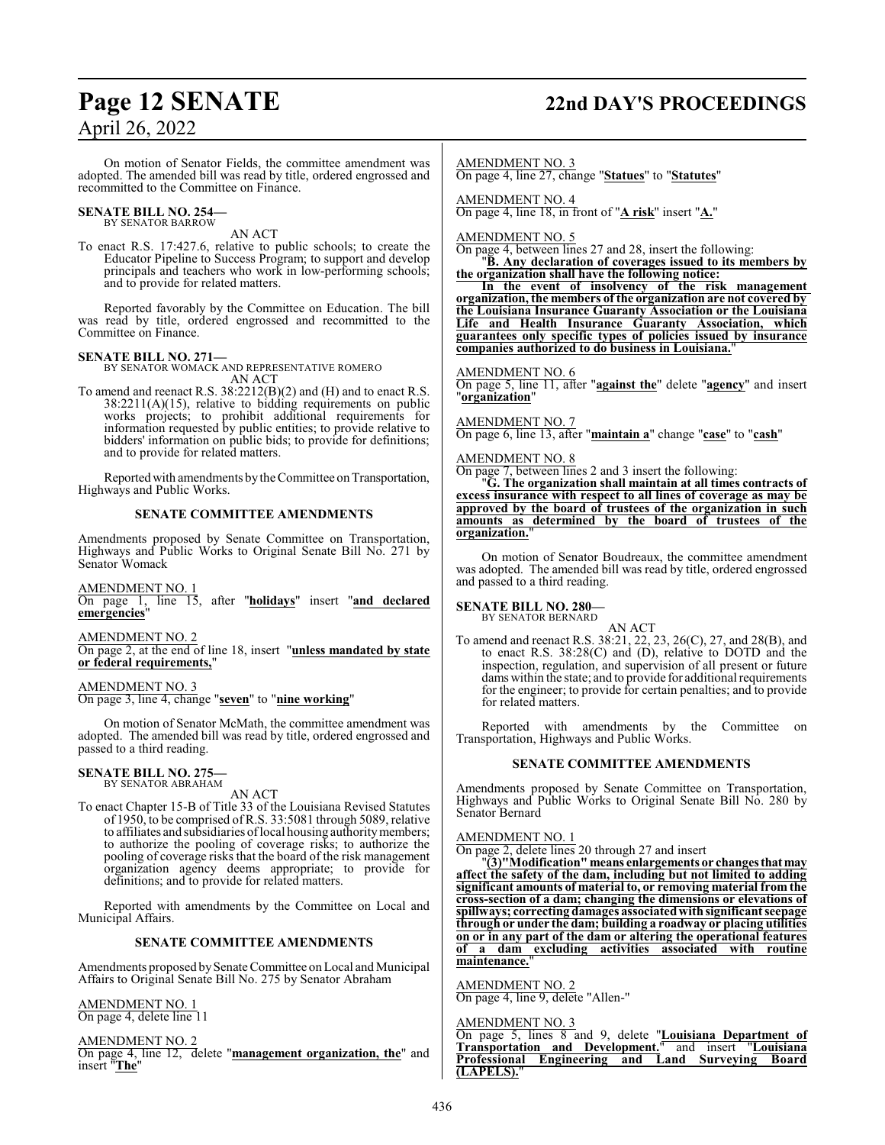# **Page 12 SENATE 22nd DAY'S PROCEEDINGS**

## April 26, 2022

On motion of Senator Fields, the committee amendment was adopted. The amended bill was read by title, ordered engrossed and recommitted to the Committee on Finance.

#### **SENATE BILL NO. 254—** BY SENATOR BARROW

AN ACT

To enact R.S. 17:427.6, relative to public schools; to create the Educator Pipeline to Success Program; to support and develop principals and teachers who work in low-performing schools; and to provide for related matters.

Reported favorably by the Committee on Education. The bill was read by title, ordered engrossed and recommitted to the Committee on Finance.

### **SENATE BILL NO. 271—**

BY SENATOR WOMACK AND REPRESENTATIVE ROMERO AN ACT

To amend and reenact R.S. 38:2212(B)(2) and (H) and to enact R.S.  $38:2211(A)(15)$ , relative to bidding requirements on public works projects; to prohibit additional requirements for information requested by public entities; to provide relative to bidders' information on public bids; to provide for definitions; and to provide for related matters.

Reported with amendments by the Committee on Transportation, Highways and Public Works.

#### **SENATE COMMITTEE AMENDMENTS**

Amendments proposed by Senate Committee on Transportation, Highways and Public Works to Original Senate Bill No. 271 by Senator Womack

#### AMENDMENT NO. 1

On page 1, line 15, after "**holidays**" insert "**and declared emergencies**"

AMENDMENT NO. 2

On page 2, at the end of line 18, insert "**unless mandated by state or federal requirements,**"

AMENDMENT NO. 3 On page 3, line 4, change "**seven**" to "**nine working**"

On motion of Senator McMath, the committee amendment was adopted. The amended bill was read by title, ordered engrossed and passed to a third reading.

# **SENATE BILL NO. 275—** BY SENATOR ABRAHAM

AN ACT

To enact Chapter 15-B of Title 33 of the Louisiana Revised Statutes of 1950, to be comprised of R.S. 33:5081 through 5089, relative to affiliates and subsidiaries oflocal housing authoritymembers; to authorize the pooling of coverage risks; to authorize the pooling of coverage risks that the board of the risk management organization agency deems appropriate; to provide for definitions; and to provide for related matters.

Reported with amendments by the Committee on Local and Municipal Affairs.

#### **SENATE COMMITTEE AMENDMENTS**

Amendments proposed by Senate Committee on Local and Municipal Affairs to Original Senate Bill No. 275 by Senator Abraham

#### AMENDMENT NO. 1 On page 4, delete line 11

AMENDMENT NO. 2 On page 4, line 12, delete "**management organization, the**" and insert "**The**"

AMENDMENT NO. 3

On page 4, line 27, change "**Statues**" to "**Statutes**"

AMENDMENT NO. 4

On page 4, line 18, in front of "**A risk**" insert "**A.**"

AMENDMENT NO. 5

On page 4, between lines 27 and 28, insert the following:

#### "**B. Any declaration of coverages issued to its members by the organization shall have the following notice:**

**In the event of insolvency of the risk management organization, the members of the organization are not covered by the Louisiana Insurance Guaranty Association or the Louisiana Life and Health Insurance Guaranty Association, which guarantees only specific types of policies issued by insurance companies authorized to do business in Louisiana.**"

#### AMENDMENT NO. 6

On page 5, line 11, after "**against the**" delete "**agency**" and insert "**organization**"

AMENDMENT NO. 7

On page 6, line 13, after "**maintain a**" change "**case**" to "**cash**"

#### AMENDMENT NO. 8

On page 7, between lines 2 and 3 insert the following: "**G. The organization shall maintain at all times contracts of excess insurance with respect to all lines of coverage as may be**

**approved by the board of trustees of the organization in such amounts as determined by the board of trustees of the organization.**"

On motion of Senator Boudreaux, the committee amendment was adopted. The amended bill was read by title, ordered engrossed and passed to a third reading.

#### **SENATE BILL NO. 280—** BY SENATOR BERNARD

AN ACT

To amend and reenact R.S. 38:21, 22, 23, 26(C), 27, and 28(B), and to enact R.S. 38:28(C) and (D), relative to DOTD and the inspection, regulation, and supervision of all present or future dams within the state; and to provide for additional requirements for the engineer; to provide for certain penalties; and to provide for related matters.

Reported with amendments by the Committee on Transportation, Highways and Public Works.

#### **SENATE COMMITTEE AMENDMENTS**

Amendments proposed by Senate Committee on Transportation, Highways and Public Works to Original Senate Bill No. 280 by Senator Bernard

#### AMENDMENT NO. 1

On page 2, delete lines 20 through 27 and insert

"**(3)"Modification" means enlargements or changesthatmay affect the safety of the dam, including but not limited to adding significant amounts of material to, or removing material from the cross-section of a dam; changing the dimensions or elevations of spillways; correcting damages associatedwith significant seepage through or under the dam; building a roadway or placing utilities on or in any part of the dam or altering the operational features of a dam excluding activities associated with routine maintenance.**"

AMENDMENT NO. 2 On page 4, line 9, delete "Allen-"

#### AMENDMENT NO. 3

On page 5, lines 8 and 9, delete "**Louisiana Department of Transportation and Development.**" and insert "**Louisiana Professional Engineering and Land Surveying Board (LAPELS).**"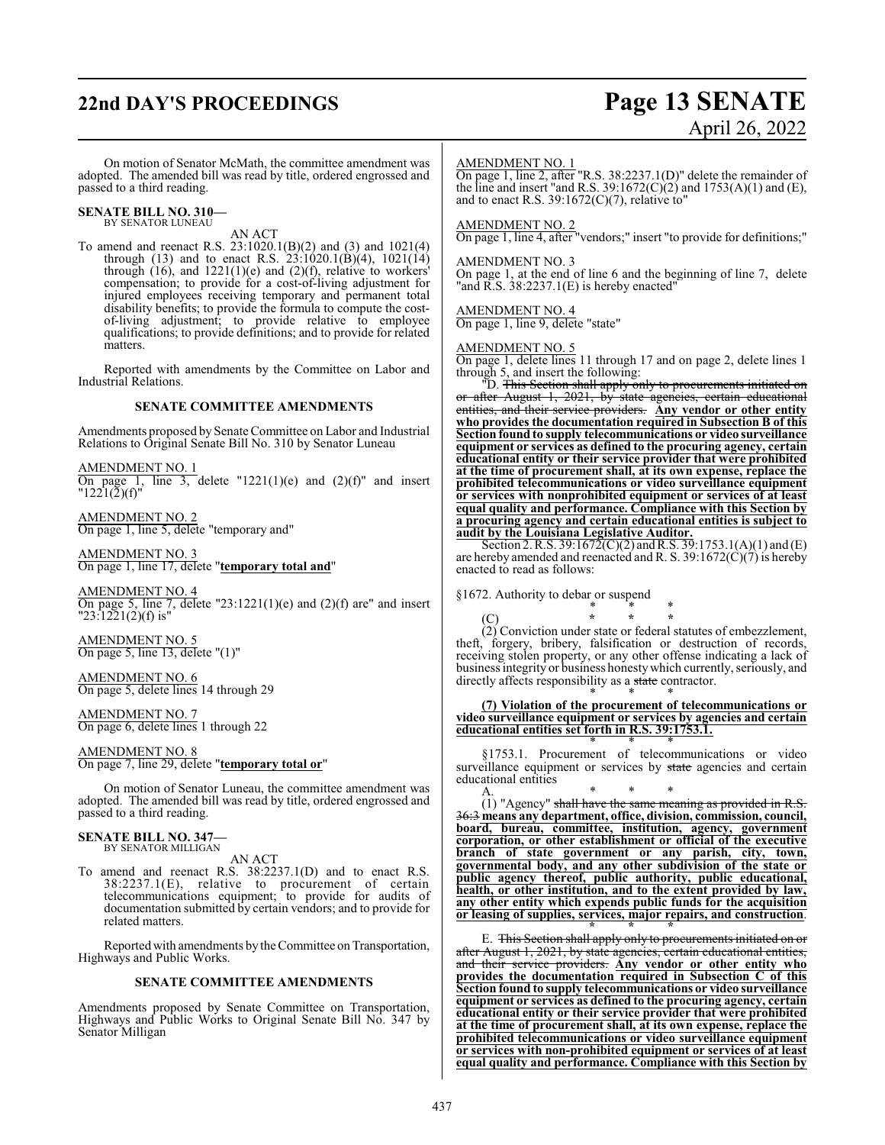# **22nd DAY'S PROCEEDINGS Page 13 SENATE**

# April 26, 2022

On motion of Senator McMath, the committee amendment was adopted. The amended bill was read by title, ordered engrossed and passed to a third reading.

#### **SENATE BILL NO. 310—** BY SENATOR LUNEAU

AN ACT

To amend and reenact R.S. 23:1020.1(B)(2) and (3) and 1021(4) through (13) and to enact R.S.  $23:1020.1(B)(4)$ ,  $1021(14)$ through  $(16)$ , and  $1221(1)(e)$  and  $(2)(f)$ , relative to workers' compensation; to provide for a cost-of-living adjustment for injured employees receiving temporary and permanent total disability benefits; to provide the formula to compute the costof-living adjustment; to provide relative to employee qualifications; to provide definitions; and to provide for related matters.

Reported with amendments by the Committee on Labor and Industrial Relations.

#### **SENATE COMMITTEE AMENDMENTS**

Amendments proposed by Senate Committee on Labor and Industrial Relations to Original Senate Bill No. 310 by Senator Luneau

AMENDMENT NO. 1 On page 1, line 3, delete "1221(1)(e) and  $(2)(f)$ " and insert  $"1221(2)(f)"$ 

AMENDMENT NO. 2 On page 1, line 5, delete "temporary and"

AMENDMENT NO. 3 On page 1, line 17, delete "**temporary total and**"

AMENDMENT NO. 4 On page 5, line 7, delete "23:1221(1)(e) and (2)(f) are" and insert "23:1221(2)(f) is"

AMENDMENT NO. 5 On page 5, line 13, delete "(1)"

AMENDMENT NO. 6 On page 5, delete lines 14 through 29

AMENDMENT NO. 7 On page 6, delete lines 1 through 22

AMENDMENT NO. 8 On page 7, line 29, delete "**temporary total or**"

On motion of Senator Luneau, the committee amendment was adopted. The amended bill was read by title, ordered engrossed and passed to a third reading.

#### **SENATE BILL NO. 347—**

BY SENATOR MILLIGAN AN ACT

To amend and reenact R.S. 38:2237.1(D) and to enact R.S. 38:2237.1(E), relative to procurement of certain telecommunications equipment; to provide for audits of documentation submitted by certain vendors; and to provide for related matters.

Reported with amendments by the Committee on Transportation, Highways and Public Works.

#### **SENATE COMMITTEE AMENDMENTS**

Amendments proposed by Senate Committee on Transportation, Highways and Public Works to Original Senate Bill No. 347 by Senator Milligan

#### AMENDMENT NO. 1

On page 1, line 2, after "R.S. 38:2237.1(D)" delete the remainder of the line and insert "and R.S. 39:1672(C)(2) and 1753(A)(1) and (E), and to enact R.S.  $39:1672(C)(7)$ , relative to"

#### AMENDMENT NO. 2

On page 1, line 4, after "vendors;" insert "to provide for definitions;"

#### AMENDMENT NO. 3

On page 1, at the end of line 6 and the beginning of line 7, delete "and R.S. 38:2237.1(E) is hereby enacted"

#### AMENDMENT NO. 4

On page 1, line 9, delete "state"

#### AMENDMENT NO. 5

On page 1, delete lines 11 through 17 and on page 2, delete lines 1 through 5, and insert the following:

"D. This Section shall apply only to procurements initiated on or after August 1, 2021, by state agencies, certain educational or after August 1, 2021, by state agencies, certain educational entities, and their service providers. Any vendor or other entity **who provides the documentation required in Subsection B of this Section found to supply telecommunications or video surveillance equipment or services as defined to the procuring agency, certain educational entity or their service provider that were prohibited at the time of procurement shall, at its own expense, replace the prohibited telecommunications or video surveillance equipment or services with nonprohibited equipment or services of at least equal quality and performance. Compliance with this Section by a procuring agency and certain educational entities is subject to audit by the Louisiana Legislative Auditor.**

Section 2. R.S. 39:1672(C)(2) and R.S. 39:1753.1(A)(1) and (E) are hereby amended and reenacted and R. S. 39:1672(C)(7) is hereby enacted to read as follows:

§1672. Authority to debar or suspend \* \* \*

(C) **\* \* \*** (2) Conviction under state or federal statutes of embezzlement, theft, forgery, bribery, falsification or destruction of records, receiving stolen property, or any other offense indicating a lack of business integrity or business honestywhich currently, seriously, and directly affects responsibility as a state contractor.

\* \* \* **(7) Violation of the procurement of telecommunications or video surveillance equipment or services by agencies and certain educational entities set forth in R.S. 39:1753.1.** \* \* \*

§1753.1. Procurement of telecommunications or video surveillance equipment or services by state agencies and certain educational entities

A. \* \* \* (1) "Agency" shall have the same meaning as provided in R.S. 36:3 **means any department, office, division, commission, council, board, bureau, committee, institution, agency, government corporation, or other establishment or official of the executive branch of state government or any parish, city, town, governmental body, and any other subdivision of the state or public agency thereof, public authority, public educational, health, or other institution, and to the extent provided by law, any other entity which expends public funds for the acquisition or leasing of supplies, services, major repairs, and construction**.

**<sup>\* \* \*</sup>** E. This Section shall apply only to procurements initiated on or after August 1, 2021, by state agencies, certain educational entities, and their service providers. **Any vendor or other entity who provides the documentation required in Subsection C of this Section found to supply telecommunications or video surveillance equipment or services as defined to the procuring agency, certain educational entity or their service provider that were prohibited at the time of procurement shall, at its own expense, replace the prohibited telecommunications or video surveillance equipment or services with non-prohibited equipment or services of at least equal quality and performance. Compliance with this Section by**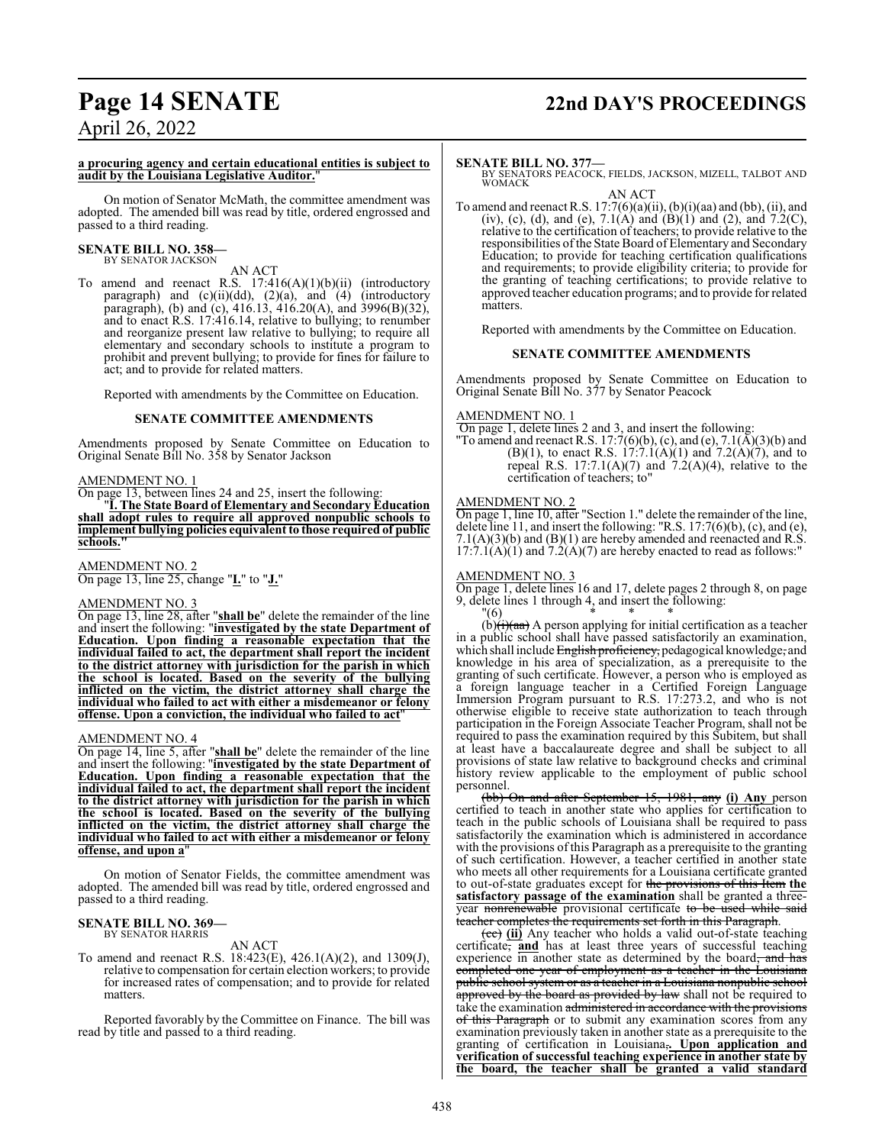# **Page 14 SENATE 22nd DAY'S PROCEEDINGS**

April 26, 2022

#### **a procuring agency and certain educational entities is subject to audit by the Louisiana Legislative Auditor.**"

On motion of Senator McMath, the committee amendment was adopted. The amended bill was read by title, ordered engrossed and passed to a third reading.

#### **SENATE BILL NO. 358—** BY SENATOR JACKSON

AN ACT

To amend and reenact R.S. 17:416(A)(1)(b)(ii) (introductory paragraph) and  $(c)(ii)(dd)$ ,  $(2)(a)$ , and  $(4)$  (introductory paragraph), (b) and (c), 416.13, 416.20(A), and 3996(B)(32), and to enact R.S. 17:416.14, relative to bullying; to renumber and reorganize present law relative to bullying; to require all elementary and secondary schools to institute a program to prohibit and prevent bullying; to provide for fines for failure to act; and to provide for related matters.

Reported with amendments by the Committee on Education.

#### **SENATE COMMITTEE AMENDMENTS**

Amendments proposed by Senate Committee on Education to Original Senate Bill No. 358 by Senator Jackson

#### AMENDMENT NO. 1

On page 13, between lines 24 and 25, insert the following:

"**I. The State Board of Elementary and Secondary Education shall adopt rules to require all approved nonpublic schools to implement bullying policies equivalent to those required of public schools."** 

AMENDMENT NO. 2 On page 13, line 25, change "**I.**" to "**J.**"

#### AMENDMENT NO. 3

On page 13, line 28, after "**shall be**" delete the remainder of the line and insert the following: "**investigated by the state Department of Education. Upon finding a reasonable expectation that the individual failed to act, the department shall report the incident to the district attorney with jurisdiction for the parish in which the school is located. Based on the severity of the bullying inflicted on the victim, the district attorney shall charge the individual who failed to act with either a misdemeanor or felony offense. Upon a conviction, the individual who failed to act**"

#### AMENDMENT NO. 4

On page 14, line 5, after "**shall be**" delete the remainder of the line and insert the following: "**investigated by the state Department of Education. Upon finding a reasonable expectation that the individual failed to act, the department shall report the incident to the district attorney with jurisdiction for the parish in which the school is located. Based on the severity of the bullying inflicted on the victim, the district attorney shall charge the individual who failed to act with either a misdemeanor or felony offense, and upon a**"

On motion of Senator Fields, the committee amendment was adopted. The amended bill was read by title, ordered engrossed and passed to a third reading.

#### **SENATE BILL NO. 369—** BY SENATOR HARRIS

AN ACT

To amend and reenact R.S. 18:423(E), 426.1(A)(2), and 1309(J), relative to compensation for certain election workers; to provide for increased rates of compensation; and to provide for related matters.

Reported favorably by the Committee on Finance. The bill was read by title and passed to a third reading.

#### **SENATE BILL NO. 377—**

BY SENATORS PEACOCK, FIELDS, JACKSON, MIZELL, TALBOT AND WOMACK

AN ACT To amend and reenact R.S.  $17:7(6)(a)(ii)$ ,  $(b)(i)(aa)$  and  $(bb)$ ,  $(ii)$ , and (iv), (c), (d), and (e),  $7.1(A)$  and  $(B)(1)$  and  $(2)$ , and  $7.2(C)$ , relative to the certification of teachers; to provide relative to the responsibilities of the State Board of Elementary and Secondary Education; to provide for teaching certification qualifications and requirements; to provide eligibility criteria; to provide for the granting of teaching certifications; to provide relative to approved teacher education programs; and to provide for related matters.

Reported with amendments by the Committee on Education.

#### **SENATE COMMITTEE AMENDMENTS**

Amendments proposed by Senate Committee on Education to Original Senate Bill No. 377 by Senator Peacock

#### AMENDMENT NO. 1

 On page 1, delete lines 2 and 3, and insert the following: "To amend and reenact R.S. 17:7(6)(b), (c), and (e),  $7.1(A)(3)(b)$  and  $(B)(1)$ , to enact R.S. 17:7.1(A)(1) and 7.2(A)(7), and to repeal R.S.  $17:7.1(A)(7)$  and  $7.2(A)(4)$ , relative to the

certification of teachers; to"

#### AMENDMENT NO. 2

On page 1, line 10, after "Section 1." delete the remainder of the line, delete line 11, and insert the following: "R.S. 17:7(6)(b), (c), and (e), 7.1(A)(3)(b) and (B)(1) are hereby amended and reenacted and R.S.  $17:7.1(A)(1)$  and  $7.2(A)(7)$  are hereby enacted to read as follows:"

#### AMENDMENT NO. 3

On page 1, delete lines 16 and 17, delete pages 2 through 8, on page 9, delete lines 1 through 4, and insert the following:

"(6) \* \* \*  $(b)(i)(aa)$  A person applying for initial certification as a teacher in a public school shall have passed satisfactorily an examination, which shall include English proficiency, pedagogical knowledge, and knowledge in his area of specialization, as a prerequisite to the granting of such certificate. However, a person who is employed as a foreign language teacher in a Certified Foreign Language Immersion Program pursuant to R.S. 17:273.2, and who is not otherwise eligible to receive state authorization to teach through participation in the Foreign Associate Teacher Program, shall not be required to pass the examination required by this Subitem, but shall at least have a baccalaureate degree and shall be subject to all provisions of state law relative to background checks and criminal history review applicable to the employment of public school personnel.

(bb) On and after September 15, 1981, any **(i) Any** person certified to teach in another state who applies for certification to teach in the public schools of Louisiana shall be required to pass satisfactorily the examination which is administered in accordance with the provisions of this Paragraph as a prerequisite to the granting of such certification. However, a teacher certified in another state who meets all other requirements for a Louisiana certificate granted to out-of-state graduates except for the provisions of this Item **the satisfactory passage of the examination** shall be granted a threeyear nonrenewable provisional certificate to be used while said teacher completes the requirements set forth in this Paragraph.

(cc) **(ii)** Any teacher who holds a valid out-of-state teaching certificate, **and** has at least three years of successful teaching experience in another state as determined by the board, and has completed one year of employment as a teacher in the Louisiana public school system or as a teacher in a Louisiana nonpublic school approved by the board as provided by law shall not be required to take the examination administered in accordance with the provisions of this Paragraph or to submit any examination scores from any examination previously taken in another state as a prerequisite to the granting of certification in Louisiana,**. Upon application and verification of successful teaching experience in another state by the board, the teacher shall be granted a valid standard**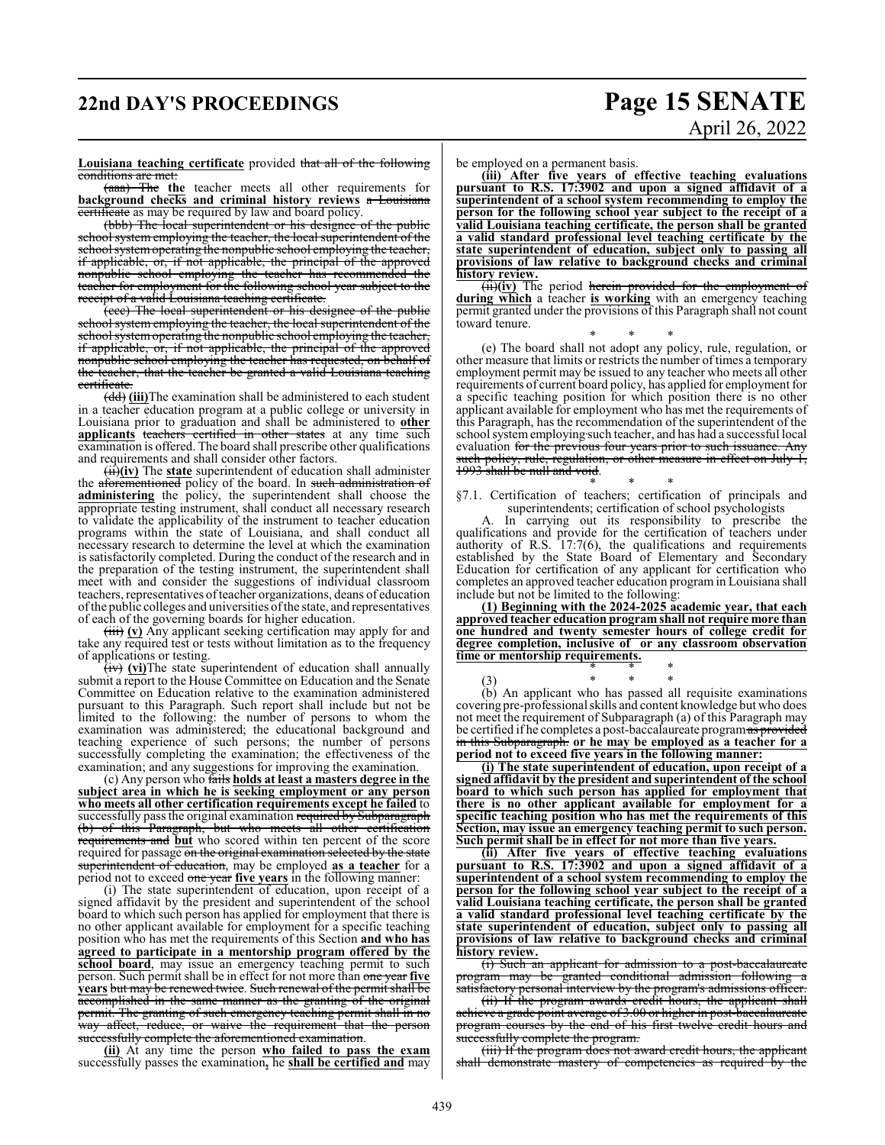# **22nd DAY'S PROCEEDINGS Page 15 SENATE**

# April 26, 2022

#### **Louisiana teaching certificate** provided that all of the following conditions are met:

(aaa) The **the** teacher meets all other requirements for **background checks and criminal history reviews** a Louisiana certificate as may be required by law and board policy.

(bbb) The local superintendent or his designee of the public school system employing the teacher, the local superintendent of the school systemoperating the nonpublic school employing the teacher, if applicable, or, if not applicable, the principal of the approved nonpublic school employing the teacher has recommended the teacher for employment for the following school year subject to the receipt of a valid Louisiana teaching certificate.

(ccc) The local superintendent or his designee of the public school system employing the teacher, the local superintendent of the school system operating the nonpublic school employing the teacher, if applicable, or, if not applicable, the principal of the approved nonpublic school employing the teacher has requested, on behalf of the teacher, that the teacher be granted a valid Louisiana teaching certificate.

(dd) **(iii)**The examination shall be administered to each student in a teacher education program at a public college or university in Louisiana prior to graduation and shall be administered to **other applicants** teachers certified in other states at any time such examination is offered. The board shall prescribe other qualifications and requirements and shall consider other factors.

(ii)**(iv)** The **state** superintendent of education shall administer the aforementioned policy of the board. In such administration of **administering** the policy, the superintendent shall choose the appropriate testing instrument, shall conduct all necessary research to validate the applicability of the instrument to teacher education programs within the state of Louisiana, and shall conduct all necessary research to determine the level at which the examination is satisfactorily completed. During the conduct of the research and in the preparation of the testing instrument, the superintendent shall meet with and consider the suggestions of individual classroom teachers, representatives of teacher organizations, deans of education ofthe public colleges and universities ofthe state, and representatives of each of the governing boards for higher education.

(iii) (v) Any applicant seeking certification may apply for and take any required test or tests without limitation as to the frequency of applications or testing.

(iv) (vi) The state superintendent of education shall annually submit a report to the House Committee on Education and the Senate Committee on Education relative to the examination administered pursuant to this Paragraph. Such report shall include but not be limited to the following: the number of persons to whom the examination was administered; the educational background and teaching experience of such persons; the number of persons successfully completing the examination; the effectiveness of the examination; and any suggestions for improving the examination.

(c) Any person who fails **holds at least a masters degree in the subject area in which he is seeking employment or any person who meets all other certification requirements except he failed** to successfully pass the original examination required by Subparagraph (b) of this Paragraph, but who meets all other certification requirements and **but** who scored within ten percent of the score required for passage on the original examination selected by the state superintendent of education, may be employed **as a teacher** for a period not to exceed one year **five years** in the following manner:

(i) The state superintendent of education, upon receipt of a signed affidavit by the president and superintendent of the school board to which such person has applied for employment that there is no other applicant available for employment for a specific teaching position who has met the requirements of this Section **and who has agreed to participate in a mentorship program offered by the school board**, may issue an emergency teaching permit to such person. Such permit shall be in effect for not more than one year **five years** but may be renewed twice. Such renewal of the permit shall be accomplished in the same manner as the granting of the original permit. The granting of such emergency teaching permit shall in no way affect, reduce, or waive the requirement that the person successfully complete the aforementioned examination.

**(ii)** At any time the person **who failed to pass the exam** successfully passes the examination**,** he **shall be certified and** may be employed on a permanent basis.

**(iii) After five years of effective teaching evaluations pursuant to R.S. 17:3902 and upon a signed affidavit of a superintendent of a school system recommending to employ the person for the following school year subject to the receipt of a valid Louisiana teaching certificate, the person shall be granted a valid standard professional level teaching certificate by the state superintendent of education, subject only to passing all provisions of law relative to background checks and criminal history review.**

(ii)**(iv)** The period herein provided for the employment of **during which** a teacher **is working** with an emergency teaching permit granted under the provisions of this Paragraph shall not count toward tenure.

\* \* \* (e) The board shall not adopt any policy, rule, regulation, or other measure that limits or restricts the number of times a temporary employment permit may be issued to any teacher who meets all other requirements of current board policy, has applied for employment for a specific teaching position for which position there is no other applicant available for employment who has met the requirements of this Paragraph, has the recommendation of the superintendent of the school systememploying such teacher, and has had a successful local evaluation <del>for the previous four years prior to such issuance. Any</del> such policy, rule, regulation, or other measure in effect on July 1, 1993 shall be null and void.

\* \* \* §7.1. Certification of teachers; certification of principals and superintendents; certification of school psychologists

A. In carrying out its responsibility to prescribe the qualifications and provide for the certification of teachers under authority of R.S. 17:7(6), the qualifications and requirements established by the State Board of Elementary and Secondary Education for certification of any applicant for certification who completes an approved teacher education program in Louisiana shall include but not be limited to the following:

**(1) Beginning with the 2024-2025 academic year, that each approved teacher education program shall not require more than one hundred and twenty semester hours of college credit for degree completion, inclusive of or any classroom observation time or mentorship requirements.** \* \* \*

(3) \* \* \* (b) An applicant who has passed all requisite examinations covering pre-professional skills and content knowledge but who does not meet the requirement of Subparagraph (a) of this Paragraph may be certified if he completes a post-baccalaureate program as provided in this Subparagraph. **or he may be employed as a teacher for a period not to exceed five years in the following manner:**

**(i) The state superintendent of education, upon receipt of a signed affidavit by the president and superintendent of the school board to which such person has applied for employment that there is no other applicant available for employment for a specific teaching position who has met the requirements of this Section, may issue an emergency teaching permit to such person. Such permit shall be in effect for not more than five years.**

**(ii) After five years of effective teaching evaluations pursuant to R.S. 17:3902 and upon a signed affidavit of a superintendent of a school system recommending to employ the person for the following school year subject to the receipt of a valid Louisiana teaching certificate, the person shall be granted a valid standard professional level teaching certificate by the state superintendent of education, subject only to passing all provisions of law relative to background checks and criminal history review.**

(i) Such an applicant for admission to a post-baccalaureate program may be granted conditional admission following a satisfactory personal interview by the program's admissions officer.

(ii) If the program awards credit hours, the applicant shall achieve a grade point average of 3.00 or higher in post-baccalaureate program courses by the end of his first twelve credit hours and successfully complete the program.

(iii) If the program does not award credit hours, the applicant shall demonstrate mastery of competencies as required by the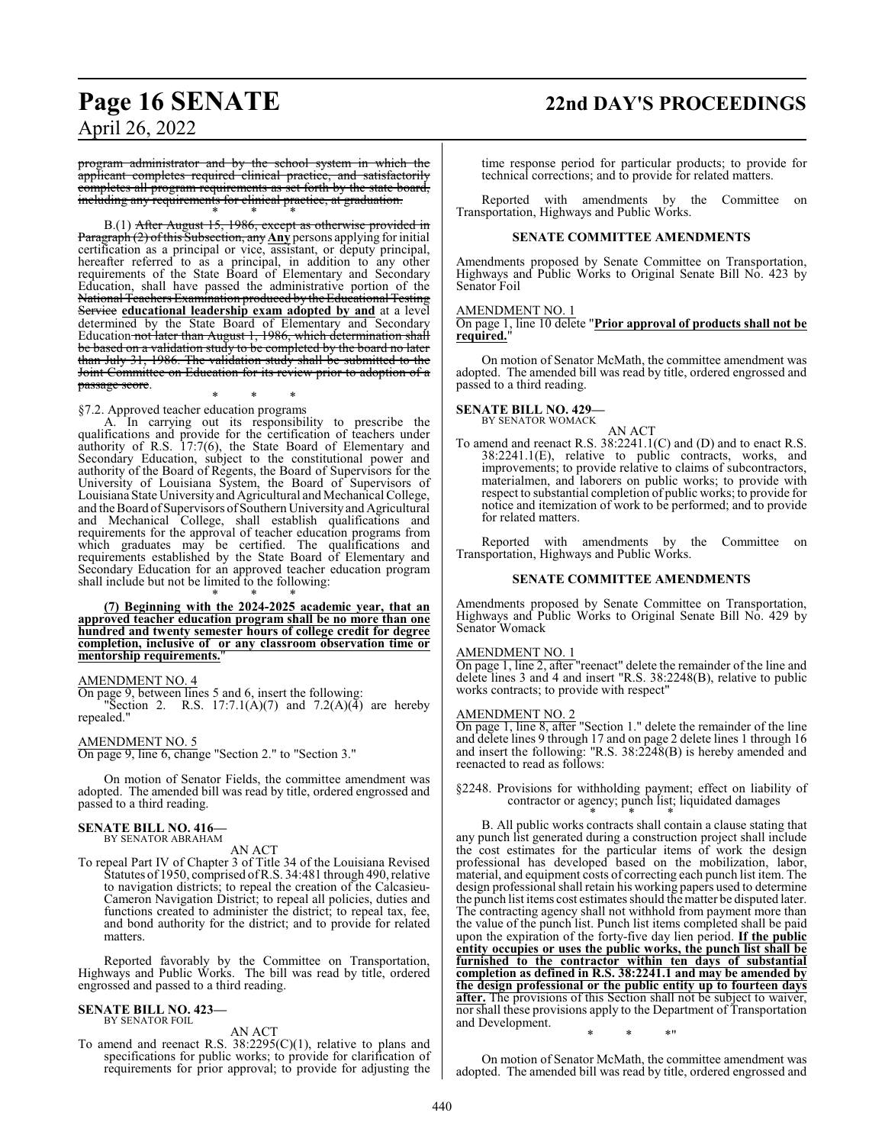# **Page 16 SENATE 22nd DAY'S PROCEEDINGS**

April 26, 2022

program administrator and by the school system in which applicant completes required clinical practice, and satisfactorily completes all program requirements as set forth by the state board, including any requirements for clinical practice, at graduation.

\* \* \* B.(1) <del>After August 15, 1986, except as otherwise provided in</del> Paragraph (2) of this Subsection, any **Any** persons applying for initial certification as a principal or vice, assistant, or deputy principal, hereafter referred to as a principal, in addition to any other requirements of the State Board of Elementary and Secondary Education, shall have passed the administrative portion of the National Testing thers Examination produced by the Edu Service **educational leadership exam adopted by and** at a level determined by the State Board of Elementary and Secondary Education not later than August 1, 1986, which determination shall be based on a validation study to be completed by the board no later than July 31, 1986. The validation study shall be submitted to the Joint Committee on Education for its review prior to adoption of a passage score.

\* \* \* §7.2. Approved teacher education programs

A. In carrying out its responsibility to prescribe the qualifications and provide for the certification of teachers under authority of R.S. 17:7(6), the State Board of Elementary and Secondary Education, subject to the constitutional power and authority of the Board of Regents, the Board of Supervisors for the University of Louisiana System, the Board of Supervisors of Louisiana State University and Agricultural and Mechanical College, and the Board of Supervisors of Southern University and Agricultural and Mechanical College, shall establish qualifications and requirements for the approval of teacher education programs from which graduates may be certified. The qualifications and requirements established by the State Board of Elementary and Secondary Education for an approved teacher education program shall include but not be limited to the following: \* \* \*

**(7) Beginning with the 2024-2025 academic year, that an approved teacher education program shall be no more than one hundred and twenty semester hours of college credit for degree completion, inclusive of or any classroom observation time or mentorship requirements.**"

#### AMENDMENT NO. 4

On page 9, between lines 5 and 6, insert the following: "Section 2. R.S.  $17:7.1(A)(7)$  and  $7.2(A)(4)$  are hereby repealed."

#### AMENDMENT NO. 5

On page 9, line 6, change "Section 2." to "Section 3."

On motion of Senator Fields, the committee amendment was adopted. The amended bill was read by title, ordered engrossed and passed to a third reading.

#### **SENATE BILL NO. 416—** BY SENATOR ABRAHAM

AN ACT

To repeal Part IV of Chapter 3 of Title 34 of the Louisiana Revised Statutes of 1950, comprised ofR.S. 34:481 through 490, relative to navigation districts; to repeal the creation of the Calcasieu-Cameron Navigation District; to repeal all policies, duties and functions created to administer the district; to repeal tax, fee, and bond authority for the district; and to provide for related matters.

Reported favorably by the Committee on Transportation, Highways and Public Works. The bill was read by title, ordered engrossed and passed to a third reading.

#### **SENATE BILL NO. 423—** BY SENATOR FOIL

AN ACT

To amend and reenact R.S. 38:2295(C)(1), relative to plans and specifications for public works; to provide for clarification of requirements for prior approval; to provide for adjusting the time response period for particular products; to provide for technical corrections; and to provide for related matters.

Reported with amendments by the Committee on Transportation, Highways and Public Works.

#### **SENATE COMMITTEE AMENDMENTS**

Amendments proposed by Senate Committee on Transportation, Highways and Public Works to Original Senate Bill No. 423 by Senator Foil

#### AMENDMENT NO. 1

On page 1, line 10 delete "**Prior approval of products shall not be required.**"

On motion of Senator McMath, the committee amendment was adopted. The amended bill was read by title, ordered engrossed and passed to a third reading.

## **SENATE BILL NO. 429—** BY SENATOR WOMACK

AN ACT

To amend and reenact R.S. 38:2241.1(C) and (D) and to enact R.S. 38:2241.1(E), relative to public contracts, works, and improvements; to provide relative to claims of subcontractors, materialmen, and laborers on public works; to provide with respect to substantial completion of public works; to provide for notice and itemization of work to be performed; and to provide for related matters.

Reported with amendments by the Committee on Transportation, Highways and Public Works.

#### **SENATE COMMITTEE AMENDMENTS**

Amendments proposed by Senate Committee on Transportation, Highways and Public Works to Original Senate Bill No. 429 by Senator Womack

#### AMENDMENT NO. 1

On page 1, line 2, after "reenact" delete the remainder of the line and delete lines 3 and 4 and insert "R.S. 38:2248(B), relative to public works contracts; to provide with respect"

#### AMENDMENT NO. 2

On page 1, line 8, after "Section 1." delete the remainder of the line and delete lines 9 through 17 and on page 2 delete lines 1 through 16 and insert the following: "R.S. 38:2248(B) is hereby amended and reenacted to read as follows:

§2248. Provisions for withholding payment; effect on liability of contractor or agency; punch list; liquidated damages \* \* \*

B. All public works contracts shall contain a clause stating that any punch list generated during a construction project shall include the cost estimates for the particular items of work the design professional has developed based on the mobilization, labor, material, and equipment costs of correcting each punch list item. The design professional shall retain his working papers used to determine the punch list items cost estimates should the matter be disputed later. The contracting agency shall not withhold from payment more than the value of the punch list. Punch list items completed shall be paid upon the expiration of the forty-five day lien period. **If the public entity occupies or uses the public works, the punch list shall be furnished to the contractor within ten days of substantial completion as defined in R.S. 38:2241.1 and may be amended by the design professional or the public entity up to fourteen days after.** The provisions of this Section shall not be subject to waiver, nor shall these provisions apply to the Department of Transportation and Development. \* \* \*"

On motion of Senator McMath, the committee amendment was adopted. The amended bill was read by title, ordered engrossed and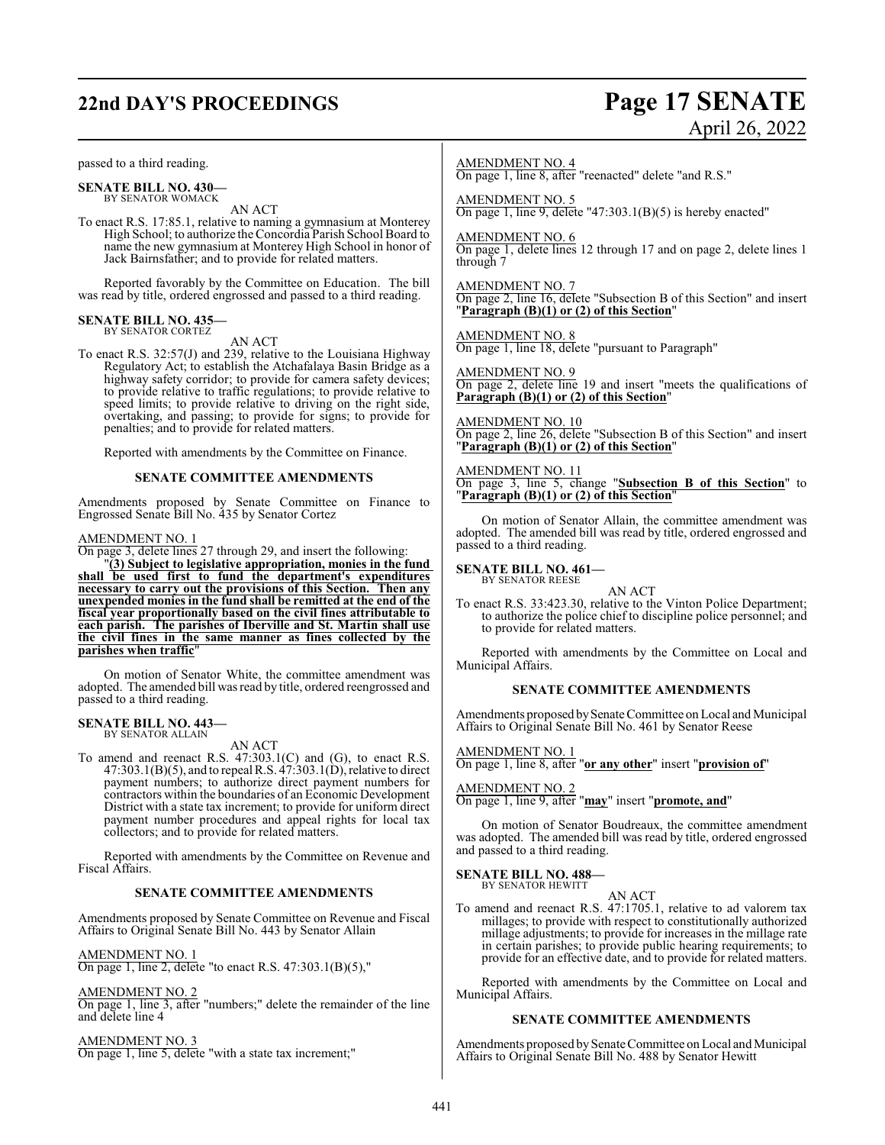# **22nd DAY'S PROCEEDINGS Page 17 SENATE**

passed to a third reading.

**SENATE BILL NO. 430—** BY SENATOR WOMACK

AN ACT

To enact R.S. 17:85.1, relative to naming a gymnasium at Monterey High School; to authorize the Concordia Parish School Board to name the new gymnasium at Monterey High School in honor of Jack Bairnsfather; and to provide for related matters.

Reported favorably by the Committee on Education. The bill was read by title, ordered engrossed and passed to a third reading.

#### **SENATE BILL NO. 435—** BY SENATOR CORTEZ

AN ACT

To enact R.S. 32:57(J) and 239, relative to the Louisiana Highway Regulatory Act; to establish the Atchafalaya Basin Bridge as a highway safety corridor; to provide for camera safety devices; to provide relative to traffic regulations; to provide relative to speed limits; to provide relative to driving on the right side, overtaking, and passing; to provide for signs; to provide for penalties; and to provide for related matters.

Reported with amendments by the Committee on Finance.

#### **SENATE COMMITTEE AMENDMENTS**

Amendments proposed by Senate Committee on Finance to Engrossed Senate Bill No. 435 by Senator Cortez

#### AMENDMENT NO. 1

On page 3, delete lines 27 through 29, and insert the following:

"**(3) Subject to legislative appropriation, monies in the fund shall be used first to fund the department's expenditures necessary to carry out the provisions of this Section. Then any unexpended monies in the fund shall be remitted at the end of the fiscal year proportionally based on the civil fines attributable to each parish. The parishes of Iberville and St. Martin shall use the civil fines in the same manner as fines collected by the parishes when traffic**"

On motion of Senator White, the committee amendment was adopted. The amended bill was read by title, ordered reengrossed and passed to a third reading.

#### **SENATE BILL NO. 443—** BY SENATOR ALLAIN

AN ACT

To amend and reenact R.S. 47:303.1(C) and (G), to enact R.S.  $47:303.1(B)(5)$ , and to repeal R.S.  $47:303.1(\dot{D})$ , relative to direct payment numbers; to authorize direct payment numbers for contractors within the boundaries of an Economic Development District with a state tax increment; to provide for uniform direct payment number procedures and appeal rights for local tax collectors; and to provide for related matters.

Reported with amendments by the Committee on Revenue and Fiscal Affairs.

#### **SENATE COMMITTEE AMENDMENTS**

Amendments proposed by Senate Committee on Revenue and Fiscal Affairs to Original Senate Bill No. 443 by Senator Allain

#### AMENDMENT NO. 1

On page 1, line 2, delete "to enact R.S. 47:303.1(B)(5),"

#### AMENDMENT NO. 2

On page 1, line 3, after "numbers;" delete the remainder of the line and delete line 4

#### AMENDMENT NO. 3

On page 1, line 5, delete "with a state tax increment;"

# April 26, 2022

AMENDMENT NO. 4

On page 1, line 8, after "reenacted" delete "and R.S."

AMENDMENT NO. 5 On page 1, line 9, delete "47:303.1(B)(5) is hereby enacted"

AMENDMENT NO. 6

On page 1, delete lines 12 through 17 and on page 2, delete lines 1 through 7

AMENDMENT NO. 7 On page 2, line 16, delete "Subsection B of this Section" and insert "**Paragraph (B)(1) or (2) of this Section**"

AMENDMENT NO. 8

On page 1, line 18, delete "pursuant to Paragraph"

AMENDMENT NO. 9 On page 2, delete line 19 and insert "meets the qualifications of **Paragraph (B)(1) or (2) of this Section**"

AMENDMENT NO. 10 On page 2, line 26, delete "Subsection B of this Section" and insert "**Paragraph (B)(1) or (2) of this Section**"

AMENDMENT NO. 11 On page 3, line 5, change "**Subsection B of this Section**" to "**Paragraph (B)(1) or (2) of this Section**"

On motion of Senator Allain, the committee amendment was adopted. The amended bill was read by title, ordered engrossed and passed to a third reading.

**SENATE BILL NO. 461—** BY SENATOR REESE

AN ACT

To enact R.S. 33:423.30, relative to the Vinton Police Department; to authorize the police chief to discipline police personnel; and to provide for related matters.

Reported with amendments by the Committee on Local and Municipal Affairs.

#### **SENATE COMMITTEE AMENDMENTS**

Amendments proposed bySenate Committee on Local and Municipal Affairs to Original Senate Bill No. 461 by Senator Reese

AMENDMENT NO. 1

On page 1, line 8, after "**or any other**" insert "**provision of**"

AMENDMENT NO. 2

On page 1, line 9, after "**may**" insert "**promote, and**"

On motion of Senator Boudreaux, the committee amendment was adopted. The amended bill was read by title, ordered engrossed and passed to a third reading.

#### **SENATE BILL NO. 488—** BY SENATOR HEWITT

AN ACT To amend and reenact R.S. 47:1705.1, relative to ad valorem tax millages; to provide with respect to constitutionally authorized millage adjustments; to provide for increases in the millage rate in certain parishes; to provide public hearing requirements; to provide for an effective date, and to provide for related matters.

Reported with amendments by the Committee on Local and Municipal Affairs.

#### **SENATE COMMITTEE AMENDMENTS**

Amendments proposed bySenate Committee on Local and Municipal Affairs to Original Senate Bill No. 488 by Senator Hewitt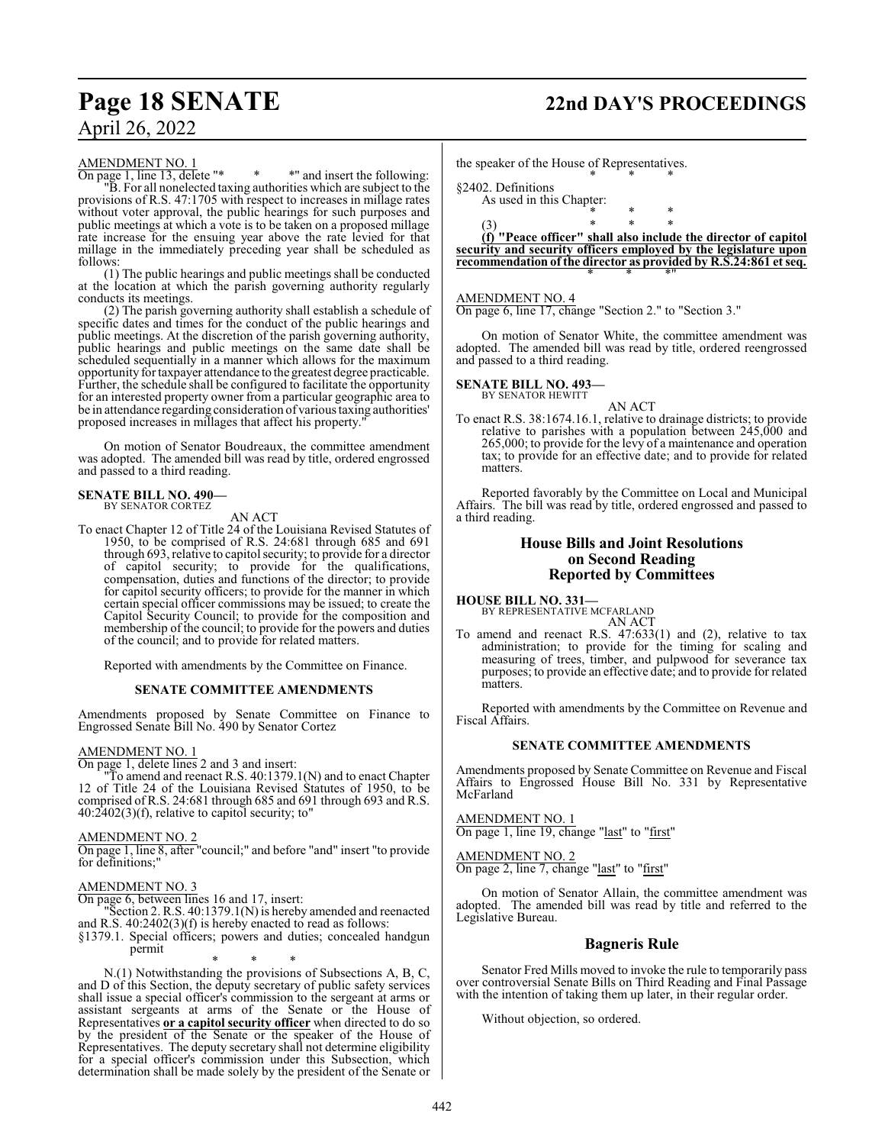# **Page 18 SENATE 22nd DAY'S PROCEEDINGS**

# April 26, 2022

#### AMENDMENT NO. 1

On page 1, line 13, delete "\* \* \* " and insert the following: "B. For all nonelected taxing authorities which are subject to the provisions of R.S. 47:1705 with respect to increases in millage rates without voter approval, the public hearings for such purposes and public meetings at which a vote is to be taken on a proposed millage rate increase for the ensuing year above the rate levied for that millage in the immediately preceding year shall be scheduled as follows:

(1) The public hearings and public meetings shall be conducted at the location at which the parish governing authority regularly conducts its meetings.

(2) The parish governing authority shall establish a schedule of specific dates and times for the conduct of the public hearings and public meetings. At the discretion of the parish governing authority, public hearings and public meetings on the same date shall be scheduled sequentially in a manner which allows for the maximum opportunity for taxpayer attendance to the greatest degree practicable. Further, the schedule shall be configured to facilitate the opportunity for an interested property owner from a particular geographic area to be in attendance regarding consideration of various taxing authorities' proposed increases in millages that affect his property.

On motion of Senator Boudreaux, the committee amendment was adopted. The amended bill was read by title, ordered engrossed and passed to a third reading.

#### **SENATE BILL NO. 490—** BY SENATOR CORTEZ

AN ACT

To enact Chapter 12 of Title 24 of the Louisiana Revised Statutes of 1950, to be comprised of R.S. 24:681 through 685 and 691 through 693, relative to capitol security; to provide for a director of capitol security; to provide for the qualifications, compensation, duties and functions of the director; to provide for capitol security officers; to provide for the manner in which certain special officer commissions may be issued; to create the Capitol Security Council; to provide for the composition and membership of the council; to provide for the powers and duties of the council; and to provide for related matters.

Reported with amendments by the Committee on Finance.

#### **SENATE COMMITTEE AMENDMENTS**

Amendments proposed by Senate Committee on Finance to Engrossed Senate Bill No. 490 by Senator Cortez

#### AMENDMENT NO. 1

On page 1, delete lines 2 and 3 and insert:

"To amend and reenact R.S. 40:1379.1(N) and to enact Chapter 12 of Title 24 of the Louisiana Revised Statutes of 1950, to be comprised of R.S. 24:681 through 685 and 691 through 693 and R.S.  $40:2402(3)$ (f), relative to capitol security; to"

#### AMENDMENT NO. 2

On page 1, line 8, after "council;" and before "and" insert "to provide for definitions;

#### AMENDMENT NO. 3

On page 6, between lines 16 and 17, insert:

"Section 2. R.S. 40:1379.1(N) is hereby amended and reenacted and R.S. 40:2402(3)(f) is hereby enacted to read as follows:

§1379.1. Special officers; powers and duties; concealed handgun permit

\* \* \* N.(1) Notwithstanding the provisions of Subsections A, B, C, and D of this Section, the deputy secretary of public safety services shall issue a special officer's commission to the sergeant at arms or assistant sergeants at arms of the Senate or the House of Representatives **or a capitol security officer** when directed to do so by the president of the Senate or the speaker of the House of Representatives. The deputy secretary shall not determine eligibility for a special officer's commission under this Subsection, which determination shall be made solely by the president of the Senate or the speaker of the House of Representatives.

§2402. Definitions

As used in this Chapter: \* \* \*

(3) \* \* \* **(f) "Peace officer" shall also include the director of capitol security and security officers employed by the legislature upon recommendation of the director as provided by R.S.24:861 et seq.** \* \* \*"

\* \* \*

#### AMENDMENT NO. 4

On page 6, line 17, change "Section 2." to "Section 3."

On motion of Senator White, the committee amendment was adopted. The amended bill was read by title, ordered reengrossed and passed to a third reading.

#### **SENATE BILL NO. 493—** BY SENATOR HEWITT

AN ACT To enact R.S. 38:1674.16.1, relative to drainage districts; to provide relative to parishes with a population between 245,000 and 265,000; to provide for the levy of a maintenance and operation tax; to provide for an effective date; and to provide for related matters.

Reported favorably by the Committee on Local and Municipal Affairs. The bill was read by title, ordered engrossed and passed to a third reading.

#### **House Bills and Joint Resolutions on Second Reading Reported by Committees**

**HOUSE BILL NO. 331—** BY REPRESENTATIVE MCFARLAND

matters.

AN ACT To amend and reenact R.S. 47:633(1) and (2), relative to tax administration; to provide for the timing for scaling and measuring of trees, timber, and pulpwood for severance tax purposes; to provide an effective date; and to provide for related

Reported with amendments by the Committee on Revenue and Fiscal Affairs.

#### **SENATE COMMITTEE AMENDMENTS**

Amendments proposed by Senate Committee on Revenue and Fiscal Affairs to Engrossed House Bill No. 331 by Representative McFarland

AMENDMENT NO. 1 On page 1, line 19, change "last" to "first"

AMENDMENT NO. 2 On page 2, line 7, change "last" to "first"

On motion of Senator Allain, the committee amendment was adopted. The amended bill was read by title and referred to the Legislative Bureau.

#### **Bagneris Rule**

Senator Fred Mills moved to invoke the rule to temporarily pass over controversial Senate Bills on Third Reading and Final Passage with the intention of taking them up later, in their regular order.

Without objection, so ordered.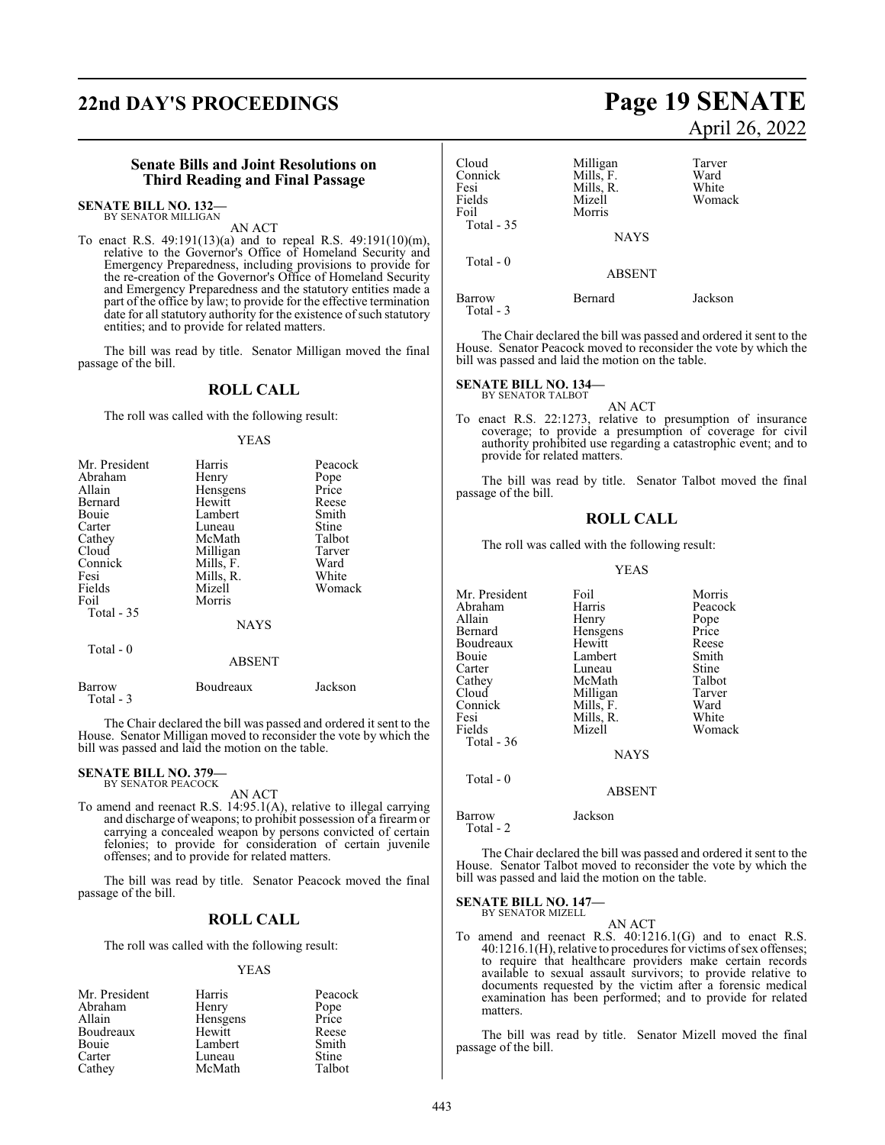# **22nd DAY'S PROCEEDINGS Page 19 SENATE**

#### **Senate Bills and Joint Resolutions on Third Reading and Final Passage**

## **SENATE BILL NO. 132—** BY SENATOR MILLIGAN

AN ACT

To enact R.S. 49:191(13)(a) and to repeal R.S. 49:191(10)(m), relative to the Governor's Office of Homeland Security and Emergency Preparedness, including provisions to provide for the re-creation of the Governor's Office of Homeland Security and Emergency Preparedness and the statutory entities made a part of the office by law; to provide for the effective termination date for all statutory authority for the existence of such statutory entities; and to provide for related matters.

The bill was read by title. Senator Milligan moved the final passage of the bill.

#### **ROLL CALL**

The roll was called with the following result:

#### YEAS

| Mr. President       | Harris      | Peacock |
|---------------------|-------------|---------|
| Abraham             | Henry       | Pope    |
| Allain              | Hensgens    | Price   |
| Bernard             | Hewitt      | Reese   |
| Bouie               | Lambert     | Smith   |
| Carter              | Luneau      | Stine   |
| Cathey              | McMath      | Talbot  |
| Cloud               | Milligan    | Tarver  |
| Connick             | Mills, F.   | Ward    |
| Fesi                | Mills, R.   | White   |
| Fields              | Mizell      | Womack  |
| Foil                | Morris      |         |
| Total - 35          |             |         |
|                     | <b>NAYS</b> |         |
| Total - 0           |             |         |
|                     | ABSENT      |         |
| Barrow<br>Total - 3 | Boudreaux   | Jackson |

The Chair declared the bill was passed and ordered it sent to the House. Senator Milligan moved to reconsider the vote by which the bill was passed and laid the motion on the table.

## **SENATE BILL NO. 379—** BY SENATOR PEACOCK

AN ACT

To amend and reenact R.S. 14:95.1(A), relative to illegal carrying and discharge of weapons; to prohibit possession of a firearm or carrying a concealed weapon by persons convicted of certain felonies; to provide for consideration of certain juvenile offenses; and to provide for related matters.

The bill was read by title. Senator Peacock moved the final passage of the bill.

#### **ROLL CALL**

The roll was called with the following result:

#### YEAS

| Mr. President | Harris   | Peacock |
|---------------|----------|---------|
| Abraham       | Henry    | Pope    |
| Allain        | Hensgens | Price   |
| Boudreaux     | Hewitt   | Reese   |
| Bouie         | Lambert  | Smith   |
| Carter        | Luneau   | Stine   |
| Cathey        | McMath   | Talbot  |

# April 26, 2022

| Cloud<br>Connick<br>Fesi<br>Fields<br>Foil | Milligan<br>Mills, F.<br>Mills, R.<br>Mizell<br>Morris | Tarver<br>Ward<br>White<br>Womack |
|--------------------------------------------|--------------------------------------------------------|-----------------------------------|
| Total $-35$                                | <b>NAYS</b>                                            |                                   |
| Total $-0$                                 | <b>ABSENT</b>                                          |                                   |
| Barrow<br>Total - 3                        | Bernard                                                | Jackson                           |

The Chair declared the bill was passed and ordered it sent to the House. Senator Peacock moved to reconsider the vote by which the bill was passed and laid the motion on the table.

**SENATE BILL NO. 134—** BY SENATOR TALBOT

AN ACT To enact R.S. 22:1273, relative to presumption of insurance coverage; to provide a presumption of coverage for civil authority prohibited use regarding a catastrophic event; and to provide for related matters.

The bill was read by title. Senator Talbot moved the final passage of the bill.

#### **ROLL CALL**

The roll was called with the following result:

#### YEAS

Mr. President Foil Foil Morris<br>Abraham Harris Peacock Abraham Harris Peacock<br>Allain Henry Pope Allain Henry Pope Bernard Hensgens Price<br>
Boudreaux Hewitt Reese Boudreaux Hewitt Reese<br>Bouie Lambert Smith Bouie Lambert Smith<br>Carter Luneau Stine Carter Luneau Stine<br>Cathey McMath Talbot Cathey McMath Talbot<br>Cloud Milligan Tarver Cloud Milligan Tarver<br>Connick Mills, F. Ward Connick Mills, F. Ward Fesi Mills, R.<br>Fields Mizell Womack Total - 36 NAYS

ABSENT

Barrow Jackson Total - 2

Total - 0

The Chair declared the bill was passed and ordered it sent to the House. Senator Talbot moved to reconsider the vote by which the bill was passed and laid the motion on the table.

## **SENATE BILL NO. 147—** BY SENATOR MIZELL

AN ACT

To amend and reenact R.S. 40:1216.1(G) and to enact R.S. 40:1216.1(H), relative to procedures for victims ofsex offenses; to require that healthcare providers make certain records available to sexual assault survivors; to provide relative to documents requested by the victim after a forensic medical examination has been performed; and to provide for related matters.

The bill was read by title. Senator Mizell moved the final passage of the bill.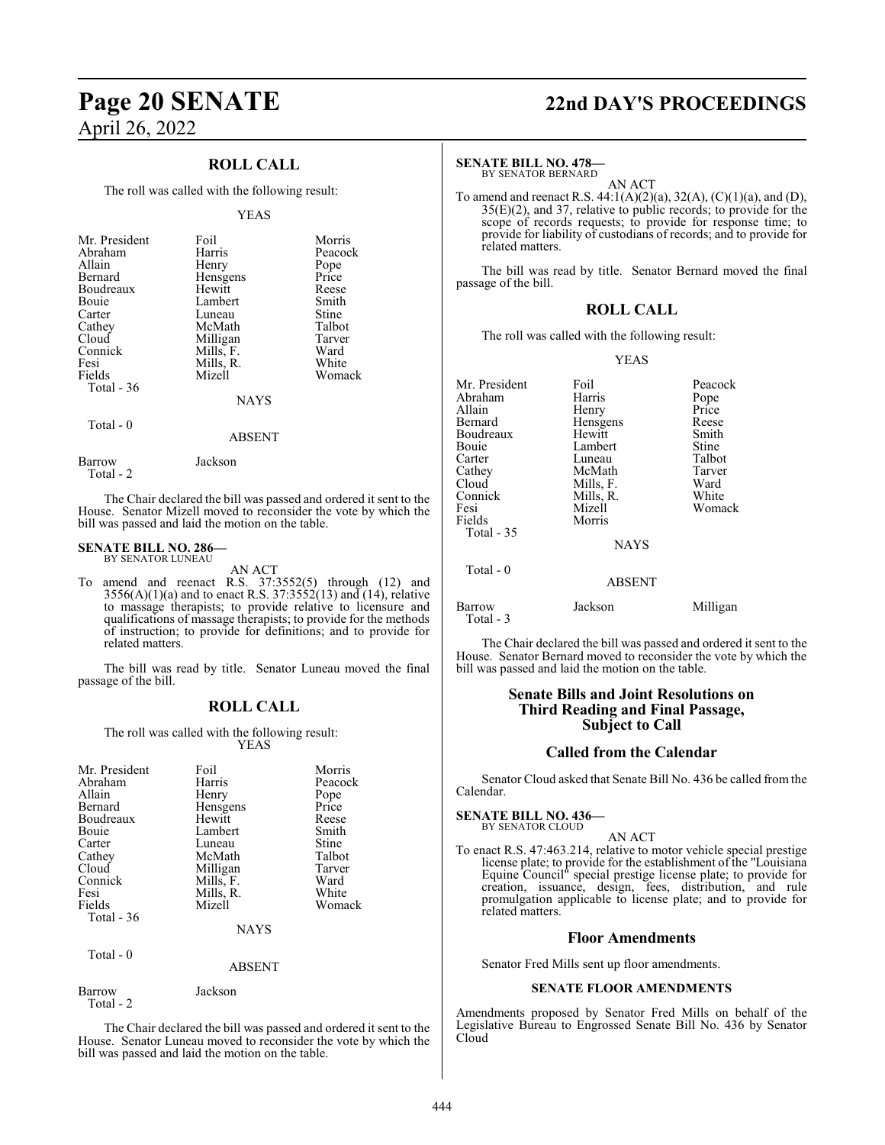### **ROLL CALL**

The roll was called with the following result:

#### YEAS

| Mr. President | Foil        | Morris  |
|---------------|-------------|---------|
|               |             |         |
| Abraham       | Harris      | Peacock |
| Allain        | Henry       | Pope    |
| Bernard       | Hensgens    | Price   |
| Boudreaux     | Hewitt      | Reese   |
| <b>Bouje</b>  | Lambert     | Smith   |
| Carter        | Luneau      | Stine   |
| Cathey        | McMath      | Talbot  |
| Cloud         | Milligan    | Tarver  |
| Connick       | Mills, F.   | Ward    |
| Fesi          | Mills, R.   | White   |
| Fields        | Mizell      | Womack  |
| Total $-36$   |             |         |
|               | <b>NAYS</b> |         |
|               |             |         |

Total - 0

#### ABSENT

Barrow Jackson

Total - 2

The Chair declared the bill was passed and ordered it sent to the

bill was passed and laid the motion on the table.

### **SENATE BILL NO. 286—**

BY SENATOR LUNEAU

AN ACT

House. Senator Mizell moved to reconsider the vote by which the

To amend and reenact R.S. 37:3552(5) through (12) and  $3556(A)(1)(a)$  and to enact R.S.  $37:3552(13)$  and  $(14)$ , relative to massage therapists; to provide relative to licensure and qualifications of massage therapists; to provide for the methods of instruction; to provide for definitions; and to provide for related matters.

The bill was read by title. Senator Luneau moved the final passage of the bill.

### **ROLL CALL**

The roll was called with the following result: YEAS

| Mr. President<br>Abraham<br>Allain<br>Bernard<br>Boudreaux<br>Bouie<br>Carter<br>Cathey<br>Cloud<br>Connick<br>Fesi | Foil<br>Harris<br>Henry<br>Hensgens<br>Hewitt<br>Lambert<br>Luneau<br>McMath<br>Milligan<br>Mills, F. | Morris<br>Peacock<br>Pope<br>Price<br>Reese<br>Smith<br>Stine<br>Talbot<br>Tarver<br>Ward<br>White |
|---------------------------------------------------------------------------------------------------------------------|-------------------------------------------------------------------------------------------------------|----------------------------------------------------------------------------------------------------|
| Fields                                                                                                              | Mills, R.<br>Mizell                                                                                   | Womack                                                                                             |
| Total - 36                                                                                                          |                                                                                                       |                                                                                                    |
|                                                                                                                     | <b>NAYS</b>                                                                                           |                                                                                                    |
| Total - 0                                                                                                           |                                                                                                       |                                                                                                    |

Barrow Jackson

ABSENT

Total - 2

The Chair declared the bill was passed and ordered it sent to the House. Senator Luneau moved to reconsider the vote by which the bill was passed and laid the motion on the table.

# **Page 20 SENATE 22nd DAY'S PROCEEDINGS**

#### **SENATE BILL NO. 478—**

BY SENATOR BERNARD AN ACT

To amend and reenact R.S. 44:1(A)(2)(a), 32(A), (C)(1)(a), and (D), 35(E)(2), and 37, relative to public records; to provide for the scope of records requests; to provide for response time; to provide for liability of custodians of records; and to provide for related matters.

The bill was read by title. Senator Bernard moved the final passage of the bill.

### **ROLL CALL**

The roll was called with the following result:

YEAS

| Mr. President<br>Foil<br>Harris<br>Abraham<br>Pope<br>Allain<br>Henry<br>Price<br>Bernard<br>Hensgens<br>Reese<br>Boudreaux<br>Hewitt<br>Smith<br>Stine<br>Lambert<br>Bouie<br>Talbot<br>Carter<br>Luneau<br>McMath<br>Cathey<br>Tarver<br>Cloud<br>Mills, F.<br>Ward<br>Connick<br>Mills, R.<br>White<br>Mizell<br>Fesi<br>Fields<br>Morris<br>Total $-35$<br><b>NAYS</b><br>Total $-0$<br>ABSENT |  |          |
|----------------------------------------------------------------------------------------------------------------------------------------------------------------------------------------------------------------------------------------------------------------------------------------------------------------------------------------------------------------------------------------------------|--|----------|
|                                                                                                                                                                                                                                                                                                                                                                                                    |  | Peacock  |
|                                                                                                                                                                                                                                                                                                                                                                                                    |  |          |
|                                                                                                                                                                                                                                                                                                                                                                                                    |  |          |
|                                                                                                                                                                                                                                                                                                                                                                                                    |  |          |
|                                                                                                                                                                                                                                                                                                                                                                                                    |  |          |
|                                                                                                                                                                                                                                                                                                                                                                                                    |  |          |
|                                                                                                                                                                                                                                                                                                                                                                                                    |  |          |
|                                                                                                                                                                                                                                                                                                                                                                                                    |  |          |
|                                                                                                                                                                                                                                                                                                                                                                                                    |  |          |
|                                                                                                                                                                                                                                                                                                                                                                                                    |  |          |
|                                                                                                                                                                                                                                                                                                                                                                                                    |  | Womack   |
|                                                                                                                                                                                                                                                                                                                                                                                                    |  |          |
|                                                                                                                                                                                                                                                                                                                                                                                                    |  |          |
|                                                                                                                                                                                                                                                                                                                                                                                                    |  |          |
|                                                                                                                                                                                                                                                                                                                                                                                                    |  |          |
|                                                                                                                                                                                                                                                                                                                                                                                                    |  |          |
| Jackson<br>Barrow<br>$Total - 3$                                                                                                                                                                                                                                                                                                                                                                   |  | Milligan |

The Chair declared the bill was passed and ordered it sent to the House. Senator Bernard moved to reconsider the vote by which the bill was passed and laid the motion on the table.

#### **Senate Bills and Joint Resolutions on Third Reading and Final Passage, Subject to Call**

#### **Called from the Calendar**

Senator Cloud asked that Senate Bill No. 436 be called from the Calendar.

#### **SENATE BILL NO. 436—** BY SENATOR CLOUD

AN ACT

To enact R.S. 47:463.214, relative to motor vehicle special prestige license plate; to provide for the establishment of the "Louisiana Equine Council" special prestige license plate; to provide for creation, issuance, design, fees, distribution, and rule promulgation applicable to license plate; and to provide for related matters.

#### **Floor Amendments**

Senator Fred Mills sent up floor amendments.

#### **SENATE FLOOR AMENDMENTS**

Amendments proposed by Senator Fred Mills on behalf of the Legislative Bureau to Engrossed Senate Bill No. 436 by Senator Cloud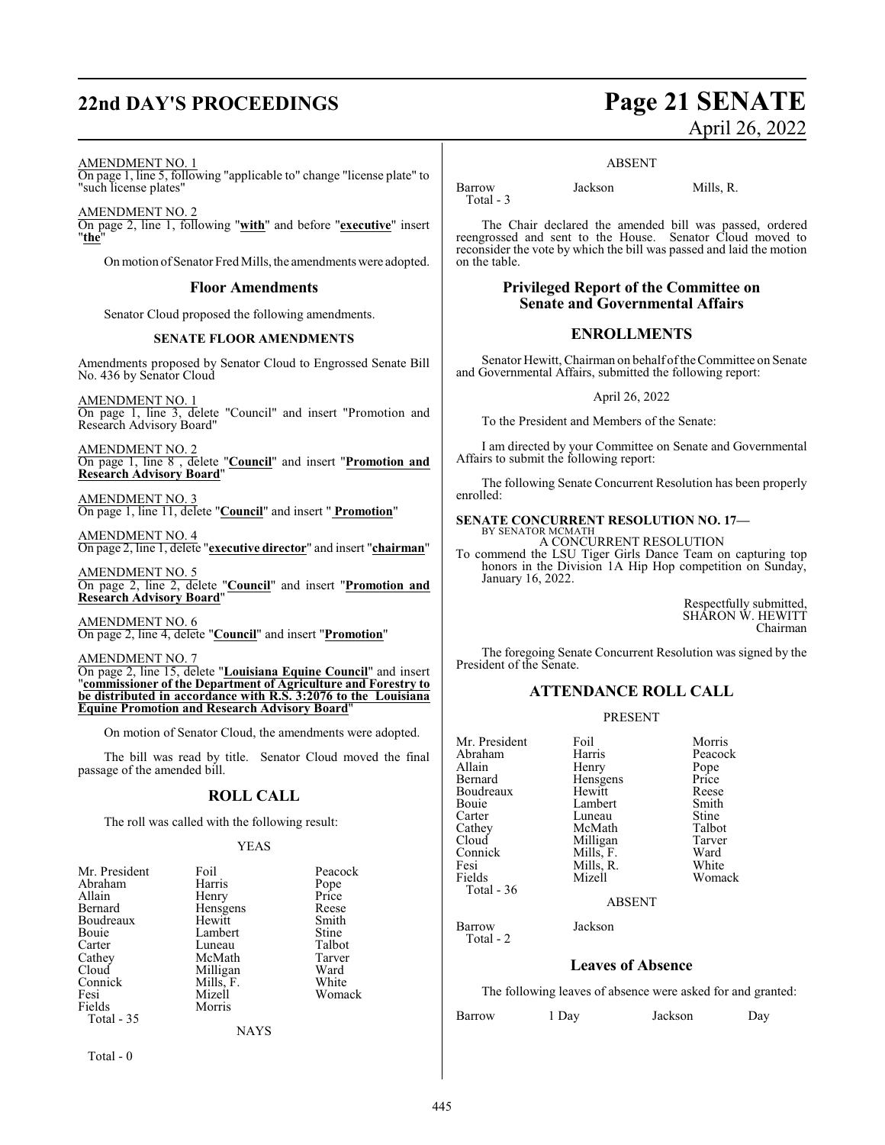# **22nd DAY'S PROCEEDINGS Page 21 SENATE**

# April 26, 2022

#### AMENDMENT NO. 1

On page 1, line 5, following "applicable to" change "license plate" to "such license plates"

AMENDMENT NO. 2 On page 2, line 1, following "**with**" and before "**executive**" insert "**the**"

On motion of Senator Fred Mills, the amendments were adopted.

#### **Floor Amendments**

Senator Cloud proposed the following amendments.

#### **SENATE FLOOR AMENDMENTS**

Amendments proposed by Senator Cloud to Engrossed Senate Bill No. 436 by Senator Cloud

AMENDMENT NO. 1 On page 1, line 3, delete "Council" and insert "Promotion and Research Advisory Board"

AMENDMENT NO. 2 On page 1, line 8 , delete "**Council**" and insert "**Promotion and Research Advisory Board**"

AMENDMENT NO. 3 On page 1, line 11, delete "**Council**" and insert " **Promotion**"

AMENDMENT NO. 4 On page 2, line 1, delete "**executive director**" and insert "**chairman**"

AMENDMENT NO. 5 On page 2, line 2, delete "**Council**" and insert "**Promotion and Research Advisory Board**"

AMENDMENT NO. 6 On page 2, line 4, delete "**Council**" and insert "**Promotion**"

AMENDMENT NO. 7 On page 2, line 15, delete "**Louisiana Equine Council**" and insert "**commissioner of the Department of Agriculture and Forestry to be distributed in accordance with R.S. 3:2076 to the Louisiana Equine Promotion and Research Advisory Board**"

On motion of Senator Cloud, the amendments were adopted.

The bill was read by title. Senator Cloud moved the final passage of the amended bill.

### **ROLL CALL**

The roll was called with the following result:

#### YEAS

| Mr. President | Foil        | Peacock |
|---------------|-------------|---------|
| Abraham       | Harris      | Pope    |
| Allain        | Henry       | Price   |
| Bernard       | Hensgens    | Reese   |
| Boudreaux     | Hewitt      | Smith   |
| Bouie         | Lambert     | Stine   |
| Carter        | Luneau      | Talbot  |
| Cathey        | McMath      | Tarver  |
| Cloud         | Milligan    | Ward    |
| Connick       | Mills, F.   | White   |
| Fesi          | Mizell      | Womack  |
| Fields        | Morris      |         |
| Total - 35    |             |         |
|               | <b>NAYS</b> |         |
|               |             |         |

Total - 0

#### ABSENT

Total - 3

Barrow Jackson Mills, R.

The Chair declared the amended bill was passed, ordered reengrossed and sent to the House. Senator Cloud moved to reconsider the vote by which the bill was passed and laid the motion on the table.

#### **Privileged Report of the Committee on Senate and Governmental Affairs**

### **ENROLLMENTS**

Senator Hewitt, Chairman on behalf of the Committee on Senate and Governmental Affairs, submitted the following report:

#### April 26, 2022

To the President and Members of the Senate:

I am directed by your Committee on Senate and Governmental Affairs to submit the following report:

The following Senate Concurrent Resolution has been properly enrolled:

## **SENATE CONCURRENT RESOLUTION NO. 17—** BY SENATOR MCMATH

A CONCURRENT RESOLUTION

To commend the LSU Tiger Girls Dance Team on capturing top honors in the Division 1A Hip Hop competition on Sunday, January 16, 2022.

> Respectfully submitted, SHARON W. HEWITT Chairman

The foregoing Senate Concurrent Resolution was signed by the President of the Senate.

### **ATTENDANCE ROLL CALL**

#### PRESENT

Mr. President Foil Foil Morris<br>Abraham Harris Peacock Abraham Harris Peacock<br>Allain Henry Pope Allain Henry Pope Boudreaux Hewitt Reese Bouie Lambert Smith<br>Carter Luneau Stine Carter Luneau Stine<br>
Cathey McMath Talbot Cathey McMath Talbot<br>Cloud Milligan Tarver Cloud Milligan Tarver<br>
Connick Mills, F. Ward Connick Mills, F. Ward<br>
Fesi Mills, R. White Fesi Mills, R.<br>Fields Mizell Total - 36

Total - 2

Hensgens Price<br>Hewitt Reese Womack

#### ABSENT

Barrow Jackson

#### **Leaves of Absence**

The following leaves of absence were asked for and granted:

Barrow 1 Day Jackson Day